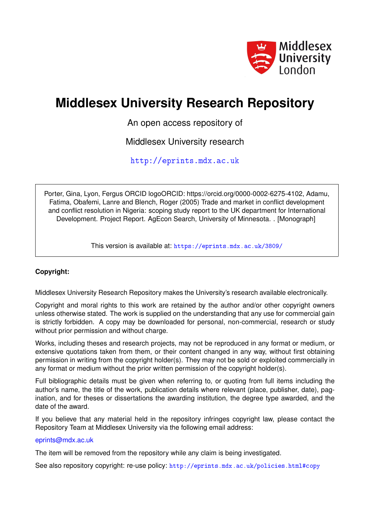

# **Middlesex University Research Repository**

An open access repository of

Middlesex University research

<http://eprints.mdx.ac.uk>

Porter, Gina, Lyon, Fergus ORCID logoORCID: https://orcid.org/0000-0002-6275-4102, Adamu, Fatima, Obafemi, Lanre and Blench, Roger (2005) Trade and market in conflict development and conflict resolution in Nigeria: scoping study report to the UK department for International Development. Project Report. AgEcon Search, University of Minnesota. . [Monograph]

This version is available at: <https://eprints.mdx.ac.uk/3809/>

### **Copyright:**

Middlesex University Research Repository makes the University's research available electronically.

Copyright and moral rights to this work are retained by the author and/or other copyright owners unless otherwise stated. The work is supplied on the understanding that any use for commercial gain is strictly forbidden. A copy may be downloaded for personal, non-commercial, research or study without prior permission and without charge.

Works, including theses and research projects, may not be reproduced in any format or medium, or extensive quotations taken from them, or their content changed in any way, without first obtaining permission in writing from the copyright holder(s). They may not be sold or exploited commercially in any format or medium without the prior written permission of the copyright holder(s).

Full bibliographic details must be given when referring to, or quoting from full items including the author's name, the title of the work, publication details where relevant (place, publisher, date), pagination, and for theses or dissertations the awarding institution, the degree type awarded, and the date of the award.

If you believe that any material held in the repository infringes copyright law, please contact the Repository Team at Middlesex University via the following email address:

#### [eprints@mdx.ac.uk](mailto:eprints@mdx.ac.uk)

The item will be removed from the repository while any claim is being investigated.

See also repository copyright: re-use policy: <http://eprints.mdx.ac.uk/policies.html#copy>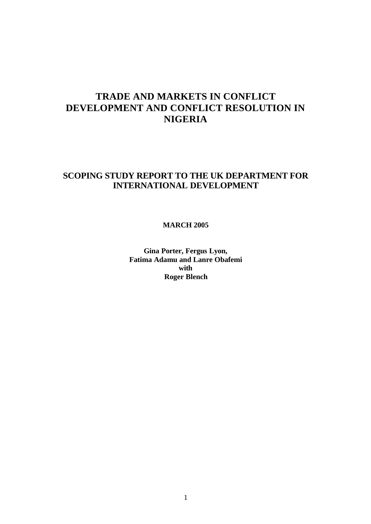## **TRADE AND MARKETS IN CONFLICT DEVELOPMENT AND CONFLICT RESOLUTION IN NIGERIA**

### **SCOPING STUDY REPORT TO THE UK DEPARTMENT FOR INTERNATIONAL DEVELOPMENT**

**MARCH 2005**

**Gina Porter, Fergus Lyon, Fatima Adamu and Lanre Obafemi with Roger Blench**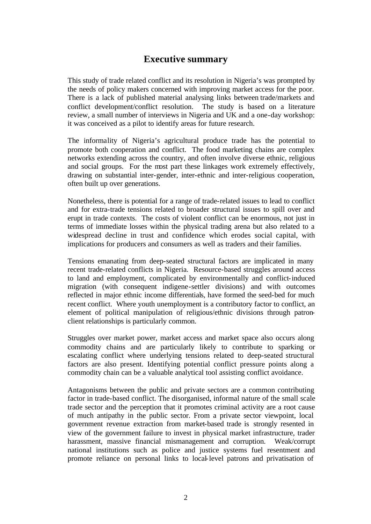### **Executive summary**

This study of trade related conflict and its resolution in Nigeria's was prompted by the needs of policy makers concerned with improving market access for the poor. There is a lack of published material analysing links between trade/markets and conflict development/conflict resolution. The study is based on a literature review, a small number of interviews in Nigeria and UK and a one-day workshop: it was conceived as a pilot to identify areas for future research.

The informality of Nigeria's agricultural produce trade has the potential to promote both cooperation and conflict. The food marketing chains are complex networks extending across the country, and often involve diverse ethnic, religious and social groups. For the most part these linkages work extremely effectively, drawing on substantial inter-gender, inter-ethnic and inter-religious cooperation, often built up over generations.

Nonetheless, there is potential for a range of trade-related issues to lead to conflict and for extra-trade tensions related to broader structural issues to spill over and erupt in trade contexts. The costs of violent conflict can be enormous, not just in terms of immediate losses within the physical trading arena but also related to a widespread decline in trust and confidence which erodes social capital, with implications for producers and consumers as well as traders and their families.

Tensions emanating from deep-seated structural factors are implicated in many recent trade-related conflicts in Nigeria. Resource-based struggles around access to land and employment, complicated by environmentally and conflict-induced migration (with consequent indigene-settler divisions) and with outcomes reflected in major ethnic income differentials, have formed the seed-bed for much recent conflict. Where youth unemployment is a contributory factor to conflict, an element of political manipulation of religious/ethnic divisions through patronclient relationships is particularly common.

Struggles over market power, market access and market space also occurs along commodity chains and are particularly likely to contribute to sparking or escalating conflict where underlying tensions related to deep-seated structural factors are also present. Identifying potential conflict pressure points along a commodity chain can be a valuable analytical tool assisting conflict avoidance.

Antagonisms between the public and private sectors are a common contributing factor in trade-based conflict. The disorganised, informal nature of the small scale trade sector and the perception that it promotes criminal activity are a root cause of much antipathy in the public sector. From a private sector viewpoint, local government revenue extraction from market-based trade is strongly resented in view of the government failure to invest in physical market infrastructure, trader harassment, massive financial mismanagement and corruption. Weak/corrupt national institutions such as police and justice systems fuel resentment and promote reliance on personal links to local-level patrons and privatisation of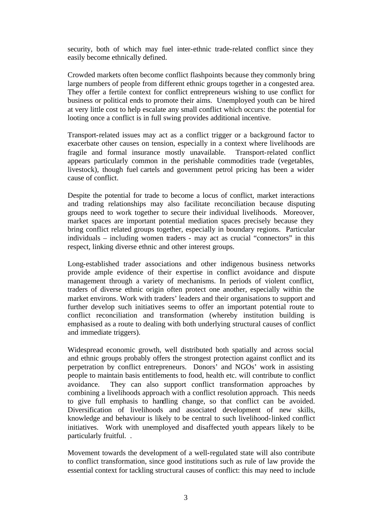security, both of which may fuel inter-ethnic trade-related conflict since they easily become ethnically defined.

Crowded markets often become conflict flashpoints because they commonly bring large numbers of people from different ethnic groups together in a congested area. They offer a fertile context for conflict entrepreneurs wishing to use conflict for business or political ends to promote their aims. Unemployed youth can be hired at very little cost to help escalate any small conflict which occurs: the potential for looting once a conflict is in full swing provides additional incentive.

Transport-related issues may act as a conflict trigger or a background factor to exacerbate other causes on tension, especially in a context where livelihoods are fragile and formal insurance mostly unavailable. Transport-related conflict appears particularly common in the perishable commodities trade (vegetables, livestock), though fuel cartels and government petrol pricing has been a wider cause of conflict.

Despite the potential for trade to become a locus of conflict, market interactions and trading relationships may also facilitate reconciliation because disputing groups need to work together to secure their individual livelihoods. Moreover, market spaces are important potential mediation spaces precisely because they bring conflict related groups together, especially in boundary regions. Particular individuals – including women traders - may act as crucial "connectors" in this respect, linking diverse ethnic and other interest groups.

Long-established trader associations and other indigenous business networks provide ample evidence of their expertise in conflict avoidance and dispute management through a variety of mechanisms. In periods of violent conflict, traders of diverse ethnic origin often protect one another, especially within the market environs. Work with traders' leaders and their organisations to support and further develop such initiatives seems to offer an important potential route to conflict reconciliation and transformation (whereby institution building is emphasised as a route to dealing with both underlying structural causes of conflict and immediate triggers).

Widespread economic growth, well distributed both spatially and across social and ethnic groups probably offers the strongest protection against conflict and its perpetration by conflict entrepreneurs. Donors' and NGOs' work in assisting people to maintain basis entitlements to food, health etc. will contribute to conflict avoidance. They can also support conflict transformation approaches by combining a livelihoods approach with a conflict resolution approach. This needs to give full emphasis to handling change, so that conflict can be avoided. Diversification of livelihoods and associated development of new skills, knowledge and behaviour is likely to be central to such livelihood-linked conflict initiatives. Work with unemployed and disaffected youth appears likely to be particularly fruitful. .

Movement towards the development of a well-regulated state will also contribute to conflict transformation, since good institutions such as rule of law provide the essential context for tackling structural causes of conflict: this may need to include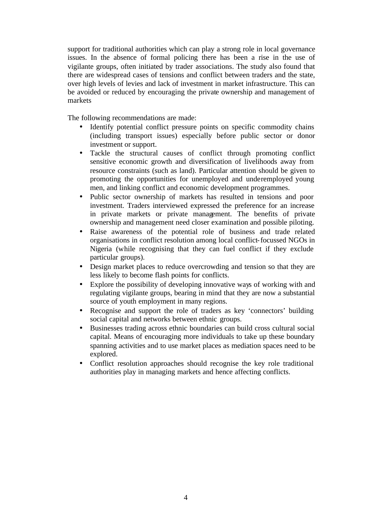support for traditional authorities which can play a strong role in local governance issues. In the absence of formal policing there has been a rise in the use of vigilante groups, often initiated by trader associations. The study also found that there are widespread cases of tensions and conflict between traders and the state, over high levels of levies and lack of investment in market infrastructure. This can be avoided or reduced by encouraging the private ownership and management of markets

The following recommendations are made:

- Identify potential conflict pressure points on specific commodity chains (including transport issues) especially before public sector or donor investment or support.
- Tackle the structural causes of conflict through promoting conflict sensitive economic growth and diversification of livelihoods away from resource constraints (such as land). Particular attention should be given to promoting the opportunities for unemployed and underemployed young men, and linking conflict and economic development programmes.
- Public sector ownership of markets has resulted in tensions and poor investment. Traders interviewed expressed the preference for an increase in private markets or private management. The benefits of private ownership and management need closer examination and possible piloting.
- Raise awareness of the potential role of business and trade related organisations in conflict resolution among local conflict-focussed NGOs in Nigeria (while recognising that they can fuel conflict if they exclude particular groups).
- Design market places to reduce overcrowding and tension so that they are less likely to become flash points for conflicts.
- Explore the possibility of developing innovative ways of working with and regulating vigilante groups, bearing in mind that they are now a substantial source of youth employment in many regions.
- Recognise and support the role of traders as key 'connectors' building social capital and networks between ethnic groups.
- Businesses trading across ethnic boundaries can build cross cultural social capital. Means of encouraging more individuals to take up these boundary spanning activities and to use market places as mediation spaces need to be explored.
- Conflict resolution approaches should recognise the key role traditional authorities play in managing markets and hence affecting conflicts.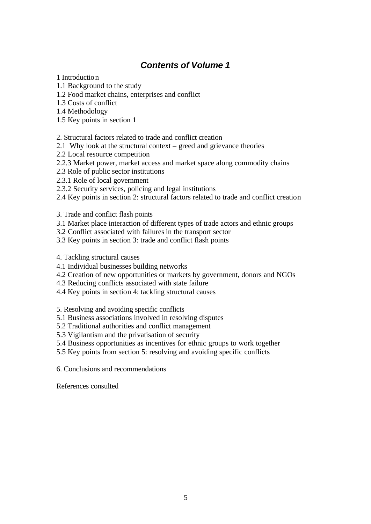### *Contents of Volume 1*

1 Introduction

- 1.1 Background to the study
- 1.2 Food market chains, enterprises and conflict
- 1.3 Costs of conflict
- 1.4 Methodology
- 1.5 Key points in section 1

#### 2. Structural factors related to trade and conflict creation

- 2.1 Why look at the structural context greed and grievance theories
- 2.2 Local resource competition
- 2.2.3 Market power, market access and market space along commodity chains
- 2.3 Role of public sector institutions
- 2.3.1 Role of local government
- 2.3.2 Security services, policing and legal institutions
- 2.4 Key points in section 2: structural factors related to trade and conflict creation

### 3. Trade and conflict flash points

- 3.1 Market place interaction of different types of trade actors and ethnic groups
- 3.2 Conflict associated with failures in the transport sector
- 3.3 Key points in section 3: trade and conflict flash points
- 4. Tackling structural causes
- 4.1 Individual businesses building networks
- 4.2 Creation of new opportunities or markets by government, donors and NGOs
- 4.3 Reducing conflicts associated with state failure
- 4.4 Key points in section 4: tackling structural causes

5. Resolving and avoiding specific conflicts

- 5.1 Business associations involved in resolving disputes
- 5.2 Traditional authorities and conflict management
- 5.3 Vigilantism and the privatisation of security
- 5.4 Business opportunities as incentives for ethnic groups to work together
- 5.5 Key points from section 5: resolving and avoiding specific conflicts

6. Conclusions and recommendations

References consulted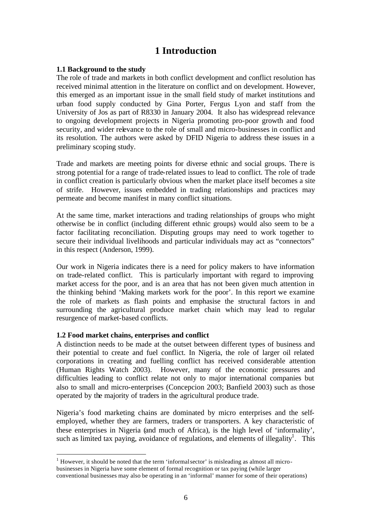### **1 Introduction**

#### **1.1 Background to the study**

The role of trade and markets in both conflict development and conflict resolution has received minimal attention in the literature on conflict and on development. However, this emerged as an important issue in the small field study of market institutions and urban food supply conducted by Gina Porter, Fergus Lyon and staff from the University of Jos as part of R8330 in January 2004. It also has widespread relevance to ongoing development projects in Nigeria promoting pro-poor growth and food security, and wider relevance to the role of small and micro-businesses in conflict and its resolution. The authors were asked by DFID Nigeria to address these issues in a preliminary scoping study.

Trade and markets are meeting points for diverse ethnic and social groups. There is strong potential for a range of trade-related issues to lead to conflict. The role of trade in conflict creation is particularly obvious when the market place itself becomes a site of strife. However, issues embedded in trading relationships and practices may permeate and become manifest in many conflict situations.

At the same time, market interactions and trading relationships of groups who might otherwise be in conflict (including different ethnic groups) would also seem to be a factor facilitating reconciliation. Disputing groups may need to work together to secure their individual livelihoods and particular individuals may act as "connectors" in this respect (Anderson, 1999).

Our work in Nigeria indicates there is a need for policy makers to have information on trade-related conflict. This is particularly important with regard to improving market access for the poor, and is an area that has not been given much attention in the thinking behind 'Making markets work for the poor'. In this report we examine the role of markets as flash points and emphasise the structural factors in and surrounding the agricultural produce market chain which may lead to regular resurgence of market-based conflicts.

### **1.2 Food market chains, enterprises and conflict**

l

A distinction needs to be made at the outset between different types of business and their potential to create and fuel conflict. In Nigeria, the role of larger oil related corporations in creating and fuelling conflict has received considerable attention (Human Rights Watch 2003). However, many of the economic pressures and difficulties leading to conflict relate not only to major international companies but also to small and micro-enterprises (Concepcion 2003; Banfield 2003) such as those operated by the majority of traders in the agricultural produce trade.

Nigeria's food marketing chains are dominated by micro enterprises and the selfemployed, whether they are farmers, traders or transporters. A key characteristic of these enterprises in Nigeria (and much of Africa), is the high level of 'informality', such as limited tax paying, avoidance of regulations, and elements of illegality<sup>1</sup>. This

 $<sup>1</sup>$  However, it should be noted that the term 'informal sector' is misleading as almost all micro-</sup> businesses in Nigeria have some element of formal recognition or tax paying (while larger conventional businesses may also be operating in an 'informal' manner for some of their operations)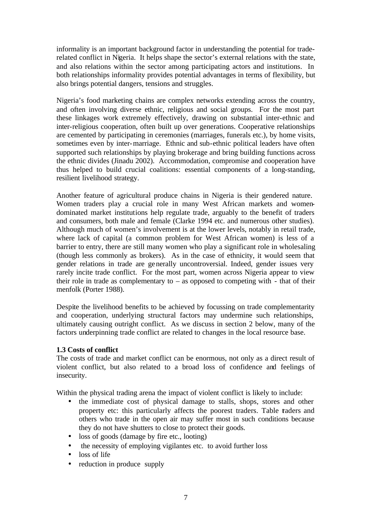informality is an important background factor in understanding the potential for traderelated conflict in Nigeria. It helps shape the sector's external relations with the state, and also relations within the sector among participating actors and institutions. In both relationships informality provides potential advantages in terms of flexibility, but also brings potential dangers, tensions and struggles.

Nigeria's food marketing chains are complex networks extending across the country, and often involving diverse ethnic, religious and social groups. For the most part these linkages work extremely effectively, drawing on substantial inter-ethnic and inter-religious cooperation, often built up over generations. Cooperative relationships are cemented by participating in ceremonies (marriages, funerals etc.), by home visits, sometimes even by inter-marriage. Ethnic and sub-ethnic political leaders have often supported such relationships by playing brokerage and bring building functions across the ethnic divides (Jinadu 2002). Accommodation, compromise and cooperation have thus helped to build crucial coalitions: essential components of a long-standing, resilient livelihood strategy.

Another feature of agricultural produce chains in Nigeria is their gendered nature. Women traders play a crucial role in many West African markets and womendominated market institutions help regulate trade, arguably to the benefit of traders and consumers, both male and female (Clarke 1994 etc. and numerous other studies). Although much of women's involvement is at the lower levels, notably in retail trade, where lack of capital (a common problem for West African women) is less of a barrier to entry, there are still many women who play a significant role in wholesaling (though less commonly as brokers). As in the case of ethnicity, it would seem that gender relations in trade are generally uncontroversial. Indeed, gender issues very rarely incite trade conflict. For the most part, women across Nigeria appear to view their role in trade as complementary to  $-$  as opposed to competing with  $-$  that of their menfolk (Porter 1988).

Despite the livelihood benefits to be achieved by focussing on trade complementarity and cooperation, underlying structural factors may undermine such relationships, ultimately causing outright conflict. As we discuss in section 2 below, many of the factors underpinning trade conflict are related to changes in the local resource base.

### **1.3 Costs of conflict**

The costs of trade and market conflict can be enormous, not only as a direct result of violent conflict, but also related to a broad loss of confidence and feelings of insecurity.

Within the physical trading arena the impact of violent conflict is likely to include:

- the immediate cost of physical damage to stalls, shops, stores and other property etc: this particularly affects the poorest traders. Table traders and others who trade in the open air may suffer most in such conditions because they do not have shutters to close to protect their goods.
- loss of goods (damage by fire etc., looting)
- the necessity of employing vigilantes etc. to avoid further loss
- loss of life
- reduction in produce supply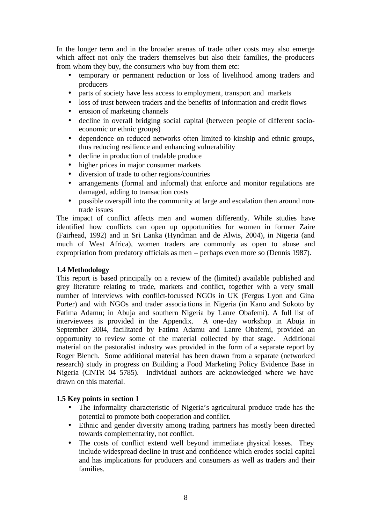In the longer term and in the broader arenas of trade other costs may also emerge which affect not only the traders themselves but also their families, the producers from whom they buy, the consumers who buy from them etc:

- temporary or permanent reduction or loss of livelihood among traders and producers
- parts of society have less access to employment, transport and markets
- loss of trust between traders and the benefits of information and credit flows
- erosion of marketing channels
- decline in overall bridging social capital (between people of different socioeconomic or ethnic groups)
- dependence on reduced networks often limited to kinship and ethnic groups, thus reducing resilience and enhancing vulnerability
- decline in production of tradable produce
- higher prices in major consumer markets
- diversion of trade to other regions/countries
- arrangements (formal and informal) that enforce and monitor regulations are damaged, adding to transaction costs
- possible overspill into the community at large and escalation then around nontrade issues

The impact of conflict affects men and women differently. While studies have identified how conflicts can open up opportunities for women in former Zaire (Fairhead, 1992) and in Sri Lanka (Hyndman and de Alwis, 2004), in Nigeria (and much of West Africa), women traders are commonly as open to abuse and expropriation from predatory officials as men – perhaps even more so (Dennis 1987).

#### **1.4 Methodology**

This report is based principally on a review of the (limited) available published and grey literature relating to trade, markets and conflict, together with a very small number of interviews with conflict-focussed NGOs in UK (Fergus Lyon and Gina Porter) and with NGOs and trader associa tions in Nigeria (in Kano and Sokoto by Fatima Adamu; in Abuja and southern Nigeria by Lanre Obafemi). A full list of interviewees is provided in the Appendix. A one-day workshop in Abuja in September 2004, facilitated by Fatima Adamu and Lanre Obafemi, provided an opportunity to review some of the material collected by that stage. Additional material on the pastoralist industry was provided in the form of a separate report by Roger Blench. Some additional material has been drawn from a separate (networked research) study in progress on Building a Food Marketing Policy Evidence Base in Nigeria (CNTR 04 5785). Individual authors are acknowledged where we have drawn on this material.

#### **1.5 Key points in section 1**

- The informality characteristic of Nigeria's agricultural produce trade has the potential to promote both cooperation and conflict.
- Ethnic and gender diversity among trading partners has mostly been directed towards complementarity, not conflict.
- The costs of conflict extend well beyond immediate physical losses. They include widespread decline in trust and confidence which erodes social capital and has implications for producers and consumers as well as traders and their families.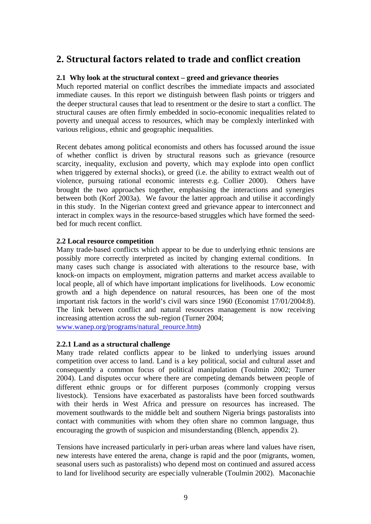### **2. Structural factors related to trade and conflict creation**

#### **2.1 Why look at the structural context – greed and grievance theories**

Much reported material on conflict describes the immediate impacts and associated immediate causes. In this report we distinguish between flash points or triggers and the deeper structural causes that lead to resentment or the desire to start a conflict. The structural causes are often firmly embedded in socio-economic inequalities related to poverty and unequal access to resources, which may be complexly interlinked with various religious, ethnic and geographic inequalities.

Recent debates among political economists and others has focussed around the issue of whether conflict is driven by structural reasons such as grievance (resource scarcity, inequality, exclusion and poverty, which may explode into open conflict when triggered by external shocks), or greed (i.e. the ability to extract wealth out of violence, pursuing rational economic interests e.g. Collier 2000). Others have brought the two approaches together, emphasising the interactions and synergies between both (Korf 2003a). We favour the latter approach and utilise it accordingly in this study. In the Nigerian context greed and grievance appear to interconnect and interact in complex ways in the resource-based struggles which have formed the seedbed for much recent conflict.

#### **2.2 Local resource competition**

Many trade-based conflicts which appear to be due to underlying ethnic tensions are possibly more correctly interpreted as incited by changing external conditions. In many cases such change is associated with alterations to the resource base, with knock-on impacts on employment, migration patterns and market access available to local people, all of which have important implications for livelihoods. Low economic growth and a high dependence on natural resources, has been one of the most important risk factors in the world's civil wars since 1960 (Economist 17/01/2004:8). The link between conflict and natural resources management is now receiving increasing attention across the sub-region (Turner 2004;

www.wanep.org/programs/natural\_reource.htm)

#### **2.2.1 Land as a structural challenge**

Many trade related conflicts appear to be linked to underlying issues around competition over access to land. Land is a key political, social and cultural asset and consequently a common focus of political manipulation (Toulmin 2002; Turner 2004). Land disputes occur where there are competing demands between people of different ethnic groups or for different purposes (commonly cropping versus livestock). Tensions have exacerbated as pastoralists have been forced southwards with their herds in West Africa and pressure on resources has increased. The movement southwards to the middle belt and southern Nigeria brings pastoralists into contact with communities with whom they often share no common language, thus encouraging the growth of suspicion and misunderstanding (Blench, appendix 2).

Tensions have increased particularly in peri-urban areas where land values have risen, new interests have entered the arena, change is rapid and the poor (migrants, women, seasonal users such as pastoralists) who depend most on continued and assured access to land for livelihood security are especially vulnerable (Toulmin 2002). Maconachie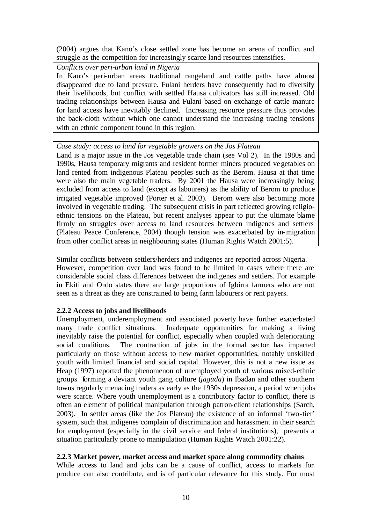(2004) argues that Kano's close settled zone has become an arena of conflict and struggle as the competition for increasingly scarce land resources intensifies.

*Conflicts over peri-urban land in Nigeria*

In Kano's peri-urban areas traditional rangeland and cattle paths have almost disappeared due to land pressure. Fulani herders have consequently had to diversify their livelihoods, but conflict with settled Hausa cultivators has still increased. Old trading relationships between Hausa and Fulani based on exchange of cattle manure for land access have inevitably declined. Increasing resource pressure thus provides the back-cloth without which one cannot understand the increasing trading tensions with an ethnic component found in this region.

*Case study: access to land for vegetable growers on the Jos Plateau*

Land is a major issue in the Jos vegetable trade chain (see Vol 2). In the 1980s and 1990s, Hausa temporary migrants and resident former miners produced vegetables on land rented from indigenous Plateau peoples such as the Berom. Hausa at that time were also the main vegetable traders. By 2001 the Hausa were increasingly being excluded from access to land (except as labourers) as the ability of Berom to produce irrigated vegetable improved (Porter et al. 2003). Berom were also becoming more involved in vegetable trading. The subsequent crisis in part reflected growing religioethnic tensions on the Plateau, but recent analyses appear to put the ultimate blame firmly on struggles over access to land resources between indigenes and settlers (Plateau Peace Conference, 2004) though tension was exacerbated by in-migration from other conflict areas in neighbouring states (Human Rights Watch 2001:5).

Similar conflicts between settlers/herders and indigenes are reported across Nigeria. However, competition over land was found to be limited in cases where there are considerable social class differences between the indigenes and settlers. For example in Ekiti and Ondo states there are large proportions of Igbirra farmers who are not seen as a threat as they are constrained to being farm labourers or rent payers.

### **2.2.2 Access to jobs and livelihoods**

Unemployment, underemployment and associated poverty have further exacerbated many trade conflict situations. Inadequate opportunities for making a living inevitably raise the potential for conflict, especially when coupled with deteriorating social conditions. The contraction of jobs in the formal sector has impacted particularly on those without access to new market opportunities, notably unskilled youth with limited financial and social capital. However, this is not a new issue as Heap (1997) reported the phenomenon of unemployed youth of various mixed-ethnic groups forming a deviant youth gang culture (*jaguda*) in Ibadan and other southern towns regularly menacing traders as early as the 1930s depression, a period when jobs were scarce. Where youth unemployment is a contributory factor to conflict, there is often an element of political manipulation through patron-client relationships (Sarch, 2003). In settler areas (like the Jos Plateau) the existence of an informal 'two-tier' system, such that indigenes complain of discrimination and harassment in their search for employment (especially in the civil service and federal institutions), presents a situation particularly prone to manipulation (Human Rights Watch 2001:22).

### **2.2.3 Market power, market access and market space along commodity chains**

While access to land and jobs can be a cause of conflict, access to markets for produce can also contribute, and is of particular relevance for this study. For most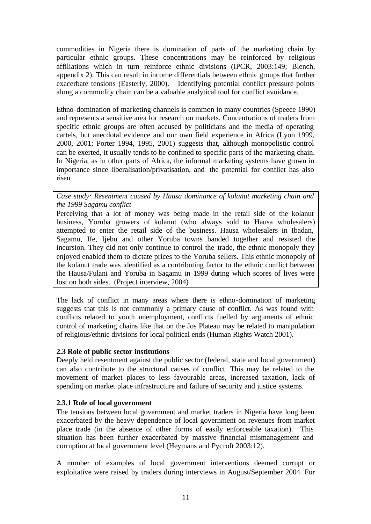commodities in Nigeria there is domination of parts of the marketing chain by particular ethnic groups. These concentrations may be reinforced by religious affiliations which in turn reinforce ethnic divisions (IPCR, 2003:149; Blench, appendix 2). This can result in income differentials between ethnic groups that further exacerbate tensions (Easterly, 2000). Identifying potential conflict pressure points along a commodity chain can be a valuable analytical tool for conflict avoidance.

Ethno-domination of marketing channels is common in many countries (Speece 1990) and represents a sensitive area for research on markets. Concentrations of traders from specific ethnic groups are often accused by politicians and the media of operating cartels, but anecdotal evidence and our own field experience in Africa (Lyon 1999, 2000, 2001; Porter 1994, 1995, 2001) suggests that, although monopolistic control can be exerted, it usually tends to be confined to specific parts of the marketing chain. In Nigeria, as in other parts of Africa, the informal marketing systems have grown in importance since liberalisation/privatisation, and the potential for conflict has also risen.

*Case study: Resentment caused by Hausa dominance of kolanut marketing chain and the 1999 Sagamu conflict*

Perceiving that a lot of money was being made in the retail side of the kolanut business, Yoruba growers of kolanut (who always sold to Hausa wholesalers) attempted to enter the retail side of the business. Hausa wholesalers in Ibadan, Sagamu, Ife, Ijebu and other Yoruba towns banded together and resisted the incursion. They did not only continue to control the trade, the ethnic monopoly they enjoyed enabled them to dictate prices to the Yoruba sellers. This ethnic monopoly of the kolanut trade was identified as a contributing factor to the ethnic conflict between the Hausa/Fulani and Yoruba in Sagamu in 1999 during which scores of lives were lost on both sides. (Project interview, 2004)

The lack of conflict in many areas where there is ethno-domination of marketing suggests that this is not commonly a primary cause of conflict. As was found with conflicts related to youth unemployment, conflicts fuelled by arguments of ethnic control of marketing chains like that on the Jos Plateau may be related to manipulation of religious/ethnic divisions for local political ends (Human Rights Watch 2001).

#### **2.3 Role of public sector institutions**

Deeply held resentment against the public sector (federal, state and local government) can also contribute to the structural causes of conflict. This may be related to the movement of market places to less favourable areas, increased taxation, lack of spending on market place infrastructure and failure of security and justice systems.

### **2.3.1 Role of local government**

The tensions between local government and market traders in Nigeria have long been exacerbated by the heavy dependence of local government on revenues from market place trade (in the absence of other forms of easily enforceable taxation). This situation has been further exacerbated by massive financial mismanagement and corruption at local government level (Heymans and Pycroft 2003:12).

A number of examples of local government interventions deemed corrupt or exploitative were raised by traders during interviews in August/September 2004. For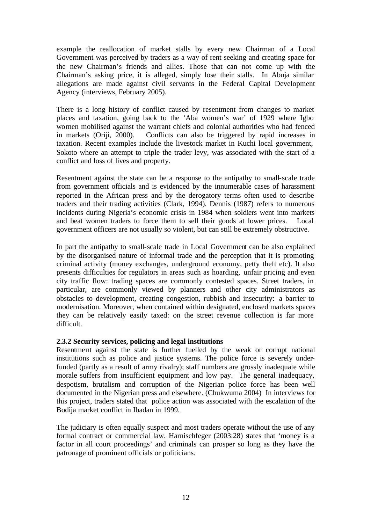example the reallocation of market stalls by every new Chairman of a Local Government was perceived by traders as a way of rent seeking and creating space for the new Chairman's friends and allies. Those that can not come up with the Chairman's asking price, it is alleged, simply lose their stalls. In Abuja similar allegations are made against civil servants in the Federal Capital Development Agency (interviews, February 2005).

There is a long history of conflict caused by resentment from changes to market places and taxation, going back to the 'Aba women's war' of 1929 where Igbo women mobilised against the warrant chiefs and colonial authorities who had fenced in markets (Oriji, 2000). Conflicts can also be triggered by rapid increases in taxation. Recent examples include the livestock market in Kuchi local government, Sokoto where an attempt to triple the trader levy, was associated with the start of a conflict and loss of lives and property.

Resentment against the state can be a response to the antipathy to small-scale trade from government officials and is evidenced by the innumerable cases of harassment reported in the African press and by the derogatory terms often used to describe traders and their trading activities (Clark, 1994). Dennis (1987) refers to numerous incidents during Nigeria's economic crisis in 1984 when soldiers went into markets and beat women traders to force them to sell their goods at lower prices. Local government officers are not usually so violent, but can still be extremely obstructive.

In part the antipathy to small-scale trade in Local Government can be also explained by the disorganised nature of informal trade and the perception that it is promoting criminal activity (money exchanges, underground economy, petty theft etc). It also presents difficulties for regulators in areas such as hoarding, unfair pricing and even city traffic flow: trading spaces are commonly contested spaces. Street traders, in particular, are commonly viewed by planners and other city administrators as obstacles to development, creating congestion, rubbish and insecurity: a barrier to modernisation. Moreover, when contained within designated, enclosed markets spaces they can be relatively easily taxed: on the street revenue collection is far more difficult.

### **2.3.2 Security services, policing and legal institutions**

Resentment against the state is further fuelled by the weak or corrupt national institutions such as police and justice systems. The police force is severely underfunded (partly as a result of army rivalry); staff numbers are grossly inadequate while morale suffers from insufficient equipment and low pay. The general inadequacy, despotism, brutalism and corruption of the Nigerian police force has been well documented in the Nigerian press and elsewhere. (Chukwuma 2004) In interviews for this project, traders stated that police action was associated with the escalation of the Bodija market conflict in Ibadan in 1999.

The judiciary is often equally suspect and most traders operate without the use of any formal contract or commercial law. Harnischfeger (2003:28) states that 'money is a factor in all court proceedings' and criminals can prosper so long as they have the patronage of prominent officials or politicians.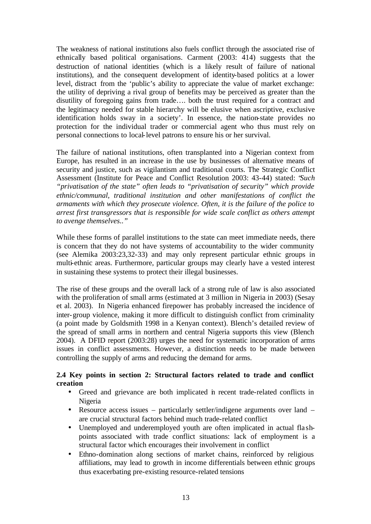The weakness of national institutions also fuels conflict through the associated rise of ethnically based political organisations. Carment (2003: 414) suggests that the destruction of national identities (which is a likely result of failure of national institutions), and the consequent development of identity-based politics at a lower level, distract from the 'public's ability to appreciate the value of market exchange: the utility of depriving a rival group of benefits may be perceived as greater than the disutility of foregoing gains from trade…. both the trust required for a contract and the legitimacy needed for stable hierarchy will be elusive when ascriptive, exclusive identification holds sway in a society'. In essence, the nation-state provides no protection for the individual trader or commercial agent who thus must rely on personal connections to local-level patrons to ensure his or her survival.

The failure of national institutions, often transplanted into a Nigerian context from Europe, has resulted in an increase in the use by businesses of alternative means of security and justice, such as vigilantism and traditional courts. The Strategic Conflict Assessment (Institute for Peace and Conflict Resolution 2003: 43-44) stated: "*Such "privatisation of the state" often leads to "privatisation of security" which provide ethnic/communal, traditional institution and other manifestations of conflict the armaments with which they prosecute violence. Often, it is the failure of the police to arrest first transgressors that is responsible for wide scale conflict as others attempt to avenge themselves.."*

While these forms of parallel institutions to the state can meet immediate needs, there is concern that they do not have systems of accountability to the wider community (see Alemika 2003:23,32-33) and may only represent particular ethnic groups in multi-ethnic areas. Furthermore, particular groups may clearly have a vested interest in sustaining these systems to protect their illegal businesses.

The rise of these groups and the overall lack of a strong rule of law is also associated with the proliferation of small arms (estimated at 3 million in Nigeria in 2003) (Sesay et al. 2003). In Nigeria enhanced firepower has probably increased the incidence of inter-group violence, making it more difficult to distinguish conflict from criminality (a point made by Goldsmith 1998 in a Kenyan context). Blench's detailed review of the spread of small arms in northern and central Nigeria supports this view (Blench 2004). A DFID report (2003:28) urges the need for systematic incorporation of arms issues in conflict assessments. However, a distinction needs to be made between controlling the supply of arms and reducing the demand for arms.

#### **2.4 Key points in section 2: Structural factors related to trade and conflict creation**

- Greed and grievance are both implicated in recent trade-related conflicts in Nigeria
- Resource access issues particularly settler/indigene arguments over land are crucial structural factors behind much trade-related conflict
- Unemployed and underemployed youth are often implicated in actual fla shpoints associated with trade conflict situations: lack of employment is a structural factor which encourages their involvement in conflict
- Ethno-domination along sections of market chains, reinforced by religious affiliations, may lead to growth in income differentials between ethnic groups thus exacerbating pre-existing resource-related tensions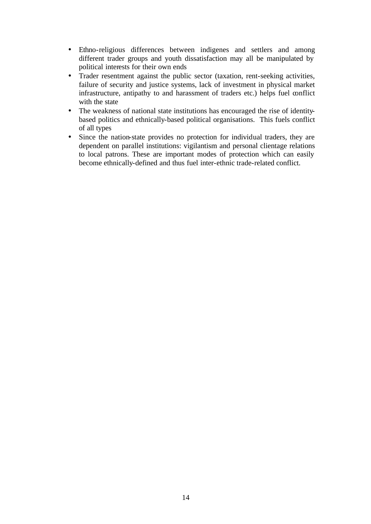- Ethno-religious differences between indigenes and settlers and among different trader groups and youth dissatisfaction may all be manipulated by political interests for their own ends
- Trader resentment against the public sector (taxation, rent-seeking activities, failure of security and justice systems, lack of investment in physical market infrastructure, antipathy to and harassment of traders etc.) helps fuel conflict with the state
- The weakness of national state institutions has encouraged the rise of identitybased politics and ethnically-based political organisations. This fuels conflict of all types
- Since the nation-state provides no protection for individual traders, they are dependent on parallel institutions: vigilantism and personal clientage relations to local patrons. These are important modes of protection which can easily become ethnically-defined and thus fuel inter-ethnic trade-related conflict.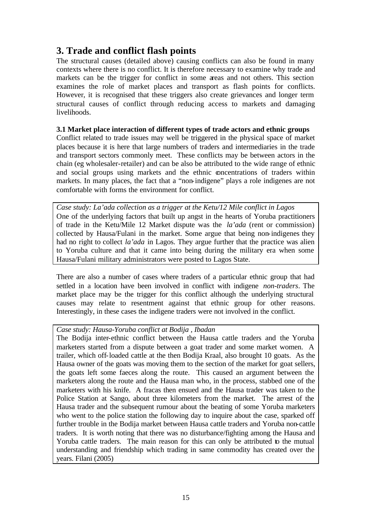### **3. Trade and conflict flash points**

The structural causes (detailed above) causing conflicts can also be found in many contexts where there is no conflict. It is therefore necessary to examine why trade and markets can be the trigger for conflict in some areas and not others. This section examines the role of market places and transport as flash points for conflicts. However, it is recognised that these triggers also create grievances and longer term structural causes of conflict through reducing access to markets and damaging livelihoods.

#### **3.1 Market place interaction of different types of trade actors and ethnic groups**

Conflict related to trade issues may well be triggered in the physical space of market places because it is here that large numbers of traders and intermediaries in the trade and transport sectors commonly meet. These conflicts may be between actors in the chain (eg wholesaler-retailer) and can be also be attributed to the wide range of ethnic and social groups using markets and the ethnic concentrations of traders within markets. In many places, the fact that a "non-indigene" plays a role indigenes are not comfortable with forms the environment for conflict.

*Case study: La'ada collection as a trigger at the Ketu/12 Mile conflict in Lagos* One of the underlying factors that built up angst in the hearts of Yoruba practitioners of trade in the Ketu/Mile 12 Market dispute was the *la'ada* (rent or commission) collected by Hausa/Fulani in the market. Some argue that being non-indigenes they had no right to collect *la'ada* in Lagos. They argue further that the practice was alien to Yoruba culture and that it came into being during the military era when some Hausa/Fulani military administrators were posted to Lagos State.

There are also a number of cases where traders of a particular ethnic group that had settled in a location have been involved in conflict with indigene *non-traders*. The market place may be the trigger for this conflict although the underlying structural causes may relate to resentment against that ethnic group for other reasons. Interestingly, in these cases the indigene traders were not involved in the conflict.

### *Case study: Hausa-Yoruba conflict at Bodija , Ibadan*

The Bodija inter-ethnic conflict between the Hausa cattle traders and the Yoruba marketers started from a dispute between a goat trader and some market women. A trailer, which off-loaded cattle at the then Bodija Kraal, also brought 10 goats. As the Hausa owner of the goats was moving them to the section of the market for goat sellers, the goats left some faeces along the route. This caused an argument between the marketers along the route and the Hausa man who, in the process, stabbed one of the marketers with his knife. A fracas then ensued and the Hausa trader was taken to the Police Station at Sango, about three kilometers from the market. The arrest of the Hausa trader and the subsequent rumour about the beating of some Yoruba marketers who went to the police station the following day to inquire about the case, sparked off further trouble in the Bodija market between Hausa cattle traders and Yoruba non-cattle traders. It is worth noting that there was no disturbance/fighting among the Hausa and Yoruba cattle traders. The main reason for this can only be attributed to the mutual understanding and friendship which trading in same commodity has created over the years. Filani (2005)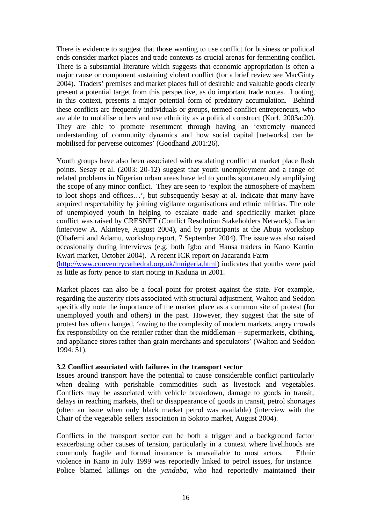There is evidence to suggest that those wanting to use conflict for business or political ends consider market places and trade contexts as crucial arenas for fermenting conflict. There is a substantial literature which suggests that economic appropriation is often a major cause or component sustaining violent conflict (for a brief review see MacGinty 2004). Traders' premises and market places full of desirable and valuable goods clearly present a potential target from this perspective, as do important trade routes. Looting, in this context, presents a major potential form of predatory accumulation. Behind these conflicts are frequently individuals or groups, termed conflict entrepreneurs, who are able to mobilise others and use ethnicity as a political construct (Korf, 2003a:20). They are able to promote resentment through having an 'extremely nuanced understanding of community dynamics and how social capital [networks] can be mobilised for perverse outcomes' (Goodhand 2001:26).

Youth groups have also been associated with escalating conflict at market place flash points. Sesay et al. (2003: 20-12) suggest that youth unemployment and a range of related problems in Nigerian urban areas have led to youths spontaneously amplifying the scope of any minor conflict. They are seen to 'exploit the atmosphere of mayhem to loot shops and offices…', but subsequently Sesay at al. indicate that many have acquired respectability by joining vigilante organisations and ethnic militias. The role of unemployed youth in helping to escalate trade and specifically market place conflict was raised by CRESNET (Conflict Resolution Stakeholders Network), Ibadan (interview A. Akinteye, August 2004), and by participants at the Abuja workshop (Obafemi and Adamu, workshop report, 7 September 2004). The issue was also raised occasionally during interviews (e.g. both Igbo and Hausa traders in Kano Kantin Kwari market, October 2004). A recent ICR report on Jacaranda Farm (http://www.conventrycathedral.org.uk/lnnigeria.html) indicates that youths were paid as little as forty pence to start rioting in Kaduna in 2001.

Market places can also be a focal point for protest against the state. For example, regarding the austerity riots associated with structural adjustment, Walton and Seddon specifically note the importance of the market place as a common site of protest (for unemployed youth and others) in the past. However, they suggest that the site of protest has often changed, 'owing to the complexity of modern markets, angry crowds fix responsibility on the retailer rather than the middleman – supermarkets, clothing, and appliance stores rather than grain merchants and speculators' (Walton and Seddon 1994: 51).

#### **3.2 Conflict associated with failures in the transport sector**

Issues around transport have the potential to cause considerable conflict particularly when dealing with perishable commodities such as livestock and vegetables. Conflicts may be associated with vehicle breakdown, damage to goods in transit, delays in reaching markets, theft or disappearance of goods in transit, petrol shortages (often an issue when only black market petrol was available) (interview with the Chair of the vegetable sellers association in Sokoto market, August 2004).

Conflicts in the transport sector can be both a trigger and a background factor exacerbating other causes of tension, particularly in a context where livelihoods are commonly fragile and formal insurance is unavailable to most actors. Ethnic violence in Kano in July 1999 was reportedly linked to petrol issues, for instance. Police blamed killings on the *yandaba*, who had reportedly maintained their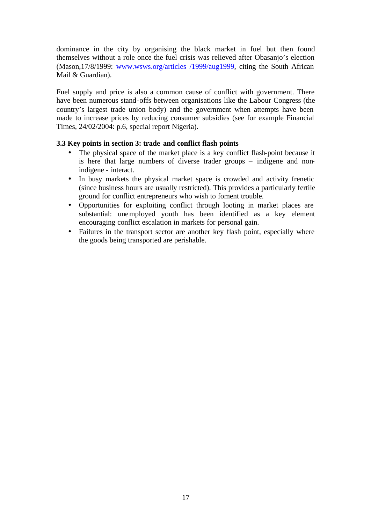dominance in the city by organising the black market in fuel but then found themselves without a role once the fuel crisis was relieved after Obasanjo's election (Mason,17/8/1999: www.wsws.org/articles /1999/aug1999, citing the South African Mail & Guardian).

Fuel supply and price is also a common cause of conflict with government. There have been numerous stand-offs between organisations like the Labour Congress (the country's largest trade union body) and the government when attempts have been made to increase prices by reducing consumer subsidies (see for example Financial Times, 24/02/2004: p.6, special report Nigeria).

#### **3.3 Key points in section 3: trade and conflict flash points**

- The physical space of the market place is a key conflict flash-point because it is here that large numbers of diverse trader groups – indigene and nonindigene - interact.
- In busy markets the physical market space is crowded and activity frenetic (since business hours are usually restricted). This provides a particularly fertile ground for conflict entrepreneurs who wish to foment trouble.
- Opportunities for exploiting conflict through looting in market places are substantial: unemployed youth has been identified as a key element encouraging conflict escalation in markets for personal gain.
- Failures in the transport sector are another key flash point, especially where the goods being transported are perishable.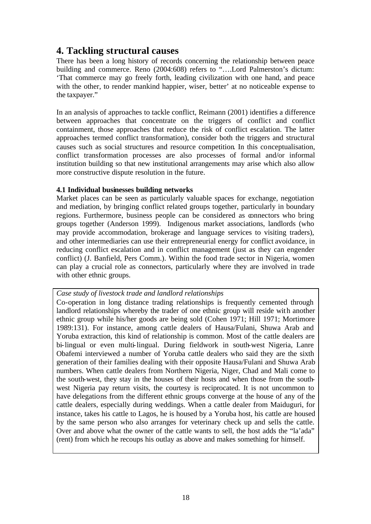### **4. Tackling structural causes**

There has been a long history of records concerning the relationship between peace building and commerce. Reno (2004:608) refers to "….Lord Palmerston's dictum: 'That commerce may go freely forth, leading civilization with one hand, and peace with the other, to render mankind happier, wiser, better' at no noticeable expense to the taxpayer."

In an analysis of approaches to tackle conflict, Reimann (2001) identifies a difference between approaches that concentrate on the triggers of conflict and conflict containment, those approaches that reduce the risk of conflict escalation. The latter approaches termed conflict transformation), consider both the triggers and structural causes such as social structures and resource competition. In this conceptualisation, conflict transformation processes are also processes of formal and/or informal institution building so that new institutional arrangements may arise which also allow more constructive dispute resolution in the future.

#### **4.1 Individual businesses building networks**

Market places can be seen as particularly valuable spaces for exchange, negotiation and mediation, by bringing conflict related groups together, particularly in boundary regions. Furthermore, business people can be considered as connectors who bring groups together (Anderson 1999). Indigenous market associations, landlords (who may provide accommodation, brokerage and language services to visiting traders), and other intermediaries can use their entrepreneurial energy for conflict avoidance, in reducing conflict escalation and in conflict management (just as they can engender conflict) (J. Banfield, Pers Comm.). Within the food trade sector in Nigeria, women can play a crucial role as connectors, particularly where they are involved in trade with other ethnic groups.

#### *Case study of livestock trade and landlord relationships*

Co-operation in long distance trading relationships is frequently cemented through landlord relationships whereby the trader of one ethnic group will reside with another ethnic group while his/her goods are being sold (Cohen 1971; Hill 1971; Mortimore 1989:131). For instance, among cattle dealers of Hausa/Fulani, Shuwa Arab and Yoruba extraction, this kind of relationship is common. Most of the cattle dealers are bi-lingual or even multi-lingual. During fieldwork in south-west Nigeria, Lanre Obafemi interviewed a number of Yoruba cattle dealers who said they are the sixth generation of their families dealing with their opposite Hausa/Fulani and Shuwa Arab numbers. When cattle dealers from Northern Nigeria, Niger, Chad and Mali come to the south-west, they stay in the houses of their hosts and when those from the southwest Nigeria pay return visits, the courtesy is reciprocated. It is not uncommon to have delegations from the different ethnic groups converge at the house of any of the cattle dealers, especially during weddings. When a cattle dealer from Maiduguri, for instance, takes his cattle to Lagos, he is housed by a Yoruba host, his cattle are housed by the same person who also arranges for veterinary check up and sells the cattle. Over and above what the owner of the cattle wants to sell, the host adds the "la'ada" (rent) from which he recoups his outlay as above and makes something for himself.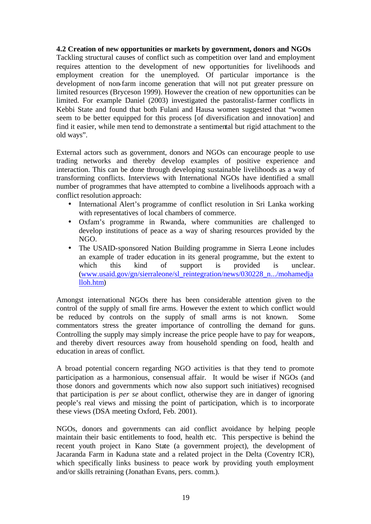#### **4.2 Creation of new opportunities or markets by government, donors and NGOs**

Tackling structural causes of conflict such as competition over land and employment requires attention to the development of new opportunities for livelihoods and employment creation for the unemployed. Of particular importance is the development of non-farm income generation that will not put greater pressure on limited resources (Bryceson 1999). However the creation of new opportunities can be limited. For example Daniel (2003) investigated the pastoralist-farmer conflicts in Kebbi State and found that both Fulani and Hausa women suggested that "women seem to be better equipped for this process [of diversification and innovation] and find it easier, while men tend to demonstrate a sentimental but rigid attachment to the old ways".

External actors such as government, donors and NGOs can encourage people to use trading networks and thereby develop examples of positive experience and interaction. This can be done through developing sustainable livelihoods as a way of transforming conflicts. Interviews with International NGOs have identified a small number of programmes that have attempted to combine a livelihoods approach with a conflict resolution approach:

- International Alert's programme of conflict resolution in Sri Lanka working with representatives of local chambers of commerce.
- Oxfam's programme in Rwanda, where communities are challenged to develop institutions of peace as a way of sharing resources provided by the NGO.
- The USAID-sponsored Nation Building programme in Sierra Leone includes an example of trader education in its general programme, but the extent to which this kind of support is provided is unclear. (www.usaid.gov/gn/sierraleone/sl\_reintegration/news/030228\_n.../mohamedja lloh.htm)

Amongst international NGOs there has been considerable attention given to the control of the supply of small fire arms. However the extent to which conflict would be reduced by controls on the supply of small arms is not known. Some commentators stress the greater importance of controlling the demand for guns. Controlling the supply may simply increase the price people have to pay for weapons, and thereby divert resources away from household spending on food, health and education in areas of conflict.

A broad potential concern regarding NGO activities is that they tend to promote participation as a harmonious, consensual affair. It would be wiser if NGOs (and those donors and governments which now also support such initiatives) recognised that participation is *per se* about conflict, otherwise they are in danger of ignoring people's real views and missing the point of participation, which is to incorporate these views (DSA meeting Oxford, Feb. 2001).

NGOs, donors and governments can aid conflict avoidance by helping people maintain their basic entitlements to food, health etc. This perspective is behind the recent youth project in Kano State (a government project), the development of Jacaranda Farm in Kaduna state and a related project in the Delta (Coventry ICR), which specifically links business to peace work by providing youth employment and/or skills retraining (Jonathan Evans, pers. comm.).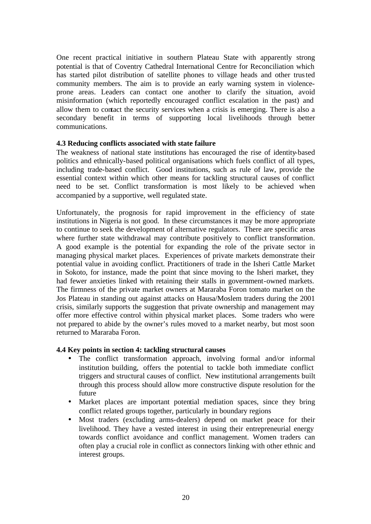One recent practical initiative in southern Plateau State with apparently strong potential is that of Coventry Cathedral International Centre for Reconciliation which has started pilot distribution of satellite phones to village heads and other trusted community members. The aim is to provide an early warning system in violenceprone areas. Leaders can contact one another to clarify the situation, avoid misinformation (which reportedly encouraged conflict escalation in the past) and allow them to contact the security services when a crisis is emerging. There is also a secondary benefit in terms of supporting local livelihoods through better communications.

#### **4.3 Reducing conflicts associated with state failure**

The weakness of national state institutions has encouraged the rise of identity-based politics and ethnically-based political organisations which fuels conflict of all types, including trade-based conflict. Good institutions, such as rule of law, provide the essential context within which other means for tackling structural causes of conflict need to be set. Conflict transformation is most likely to be achieved when accompanied by a supportive, well regulated state.

Unfortunately, the prognosis for rapid improvement in the efficiency of state institutions in Nigeria is not good. In these circumstances it may be more appropriate to continue to seek the development of alternative regulators. There are specific areas where further state withdrawal may contribute positively to conflict transformation. A good example is the potential for expanding the role of the private sector in managing physical market places. Experiences of private markets demonstrate their potential value in avoiding conflict. Practitioners of trade in the Isheri Cattle Market in Sokoto, for instance, made the point that since moving to the Isheri market, they had fewer anxieties linked with retaining their stalls in government-owned markets. The firmness of the private market owners at Mararaba Foron tomato market on the Jos Plateau in standing out against attacks on Hausa/Moslem traders during the 2001 crisis, similarly supports the suggestion that private ownership and management may offer more effective control within physical market places. Some traders who were not prepared to abide by the owner's rules moved to a market nearby, but most soon returned to Mararaba Foron.

#### **4.4 Key points in section 4: tackling structural causes**

- The conflict transformation approach, involving formal and/or informal institution building, offers the potential to tackle both immediate conflict triggers and structural causes of conflict. New institutional arrangements built through this process should allow more constructive dispute resolution for the future
- Market places are important potential mediation spaces, since they bring conflict related groups together, particularly in boundary regions
- Most traders (excluding arms-dealers) depend on market peace for their livelihood. They have a vested interest in using their entrepreneurial energy towards conflict avoidance and conflict management. Women traders can often play a crucial role in conflict as connectors linking with other ethnic and interest groups.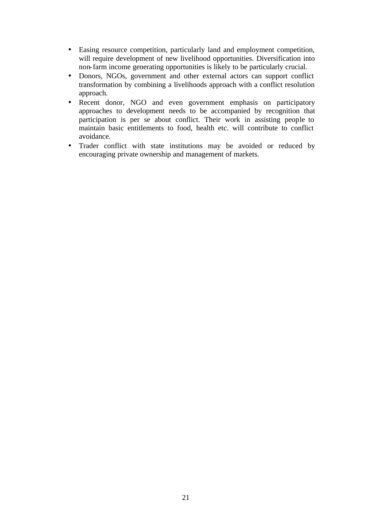- Easing resource competition, particularly land and employment competition, will require development of new livelihood opportunities. Diversification into non-farm income generating opportunities is likely to be particularly crucial.
- Donors, NGOs, government and other external actors can support conflict transformation by combining a livelihoods approach with a conflict resolution approach.
- Recent donor, NGO and even government emphasis on participatory approaches to development needs to be accompanied by recognition that participation is per se about conflict. Their work in assisting people to maintain basic entitlements to food, health etc. will contribute to conflict avoidance.
- Trader conflict with state institutions may be avoided or reduced by encouraging private ownership and management of markets.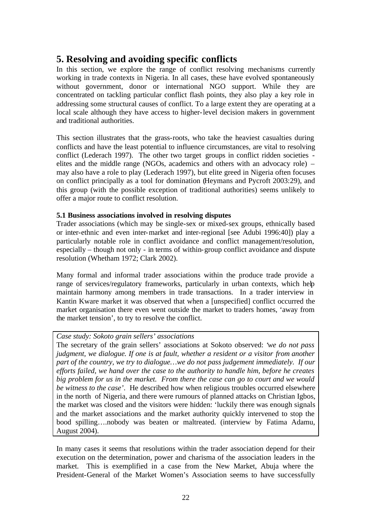### **5. Resolving and avoiding specific conflicts**

In this section, we explore the range of conflict resolving mechanisms currently working in trade contexts in Nigeria. In all cases, these have evolved spontaneously without government, donor or international NGO support. While they are concentrated on tackling particular conflict flash points, they also play a key role in addressing some structural causes of conflict. To a large extent they are operating at a local scale although they have access to higher-level decision makers in government and traditional authorities.

This section illustrates that the grass-roots, who take the heaviest casualties during conflicts and have the least potential to influence circumstances, are vital to resolving conflict (Lederach 1997). The other two target groups in conflict ridden societies elites and the middle range (NGOs, academics and others with an advocacy role) – may also have a role to play (Lederach 1997), but elite greed in Nigeria often focuses on conflict principally as a tool for domination (Heymans and Pycroft 2003:29), and this group (with the possible exception of traditional authorities) seems unlikely to offer a major route to conflict resolution.

### **5.1 Business associations involved in resolving disputes**

Trader associations (which may be single-sex or mixed-sex groups, ethnically based or inter-ethnic and even inter-market and inter-regional [see Adubi 1996:40]) play a particularly notable role in conflict avoidance and conflict management/resolution, especially – though not only - in terms of within-group conflict avoidance and dispute resolution (Whetham 1972; Clark 2002).

Many formal and informal trader associations within the produce trade provide a range of services/regulatory frameworks, particularly in urban contexts, which help maintain harmony among members in trade transactions. In a trader interview in Kantin Kware market it was observed that when a [unspecified] conflict occurred the market organisation there even went outside the market to traders homes, 'away from the market tension', to try to resolve the conflict.

### *Case study: Sokoto grain sellers' associations*

The secretary of the grain sellers' associations at Sokoto observed: '*we do not pass judgment, we dialogue. If one is at fault, whether a resident or a visitor from another part of the country, we try to dialogue…we do not pass judgement immediately. If our efforts failed, we hand over the case to the authority to handle him, before he creates big problem for us in the market. From there the case can go to court and we would be witness to the case'*. He described how when religious troubles occurred elsewhere in the north of Nigeria, and there were rumours of planned attacks on Christian Igbos, the market was closed and the visitors were hidden: 'luckily there was enough signals and the market associations and the market authority quickly intervened to stop the bood spilling….nobody was beaten or maltreated. (interview by Fatima Adamu, August 2004).

In many cases it seems that resolutions within the trader association depend for their execution on the determination, power and charisma of the association leaders in the market. This is exemplified in a case from the New Market, Abuja where the President-General of the Market Women's Association seems to have successfully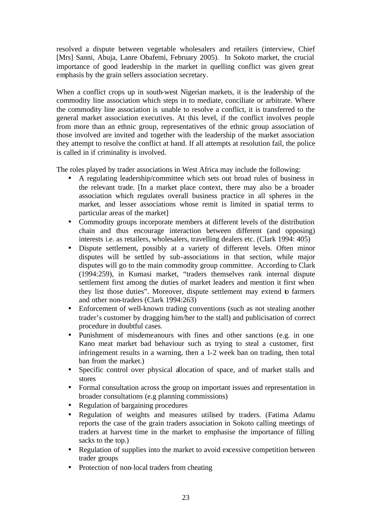resolved a dispute between vegetable wholesalers and retailers (interview, Chief [Mrs] Sanni, Abuja, Lanre Obafemi, February 2005). In Sokoto market, the crucial importance of good leadership in the market in quelling conflict was given great emphasis by the grain sellers association secretary.

When a conflict crops up in south-west Nigerian markets, it is the leadership of the commodity line association which steps in to mediate, conciliate or arbitrate. Where the commodity line association is unable to resolve a conflict, it is transferred to the general market association executives. At this level, if the conflict involves people from more than an ethnic group, representatives of the ethnic group association of those involved are invited and together with the leadership of the market association they attempt to resolve the conflict at hand. If all attempts at resolution fail, the police is called in if criminality is involved.

The roles played by trader associations in West Africa may include the following:

- A regulating leadership/committee which sets out broad rules of business in the relevant trade. [In a market place context, there may also be a broader association which regulates overall business practice in all spheres in the market, and lesser associations whose remit is limited in spatial terms to particular areas of the market]
- Commodity groups incorporate members at different levels of the distribution chain and thus encourage interaction between different (and opposing) interests i.e. as retailers, wholesalers, travelling dealers etc. (Clark 1994: 405)
- Dispute settlement, possibly at a variety of different levels. Often minor disputes will be settled by sub-associations in that section, while major disputes will go to the main commodity group committee. According to Clark (1994:259), in Kumasi market, "traders themselves rank internal dispute settlement first among the duties of market leaders and mention it first when they list those duties". Moreover, dispute settlement may extend to farmers and other non-traders (Clark 1994:263)
- Enforcement of well-known trading conventions (such as not stealing another trader's customer by dragging him/her to the stall) and publicisation of correct procedure in doubtful cases.
- Punishment of misdemeanours with fines and other sanctions (e.g. in one Kano meat market bad behaviour such as trying to steal a customer, first infringement results in a warning, then a 1-2 week ban on trading, then total ban from the market.)
- Specific control over physical allocation of space, and of market stalls and stores
- Formal consultation across the group on important issues and representation in broader consultations (e.g planning commissions)
- Regulation of bargaining procedures
- Regulation of weights and measures utilised by traders. (Fatima Adamu reports the case of the grain traders association in Sokoto calling meetings of traders at harvest time in the market to emphasise the importance of filling sacks to the top.)
- Regulation of supplies into the market to avoid excessive competition between trader groups
- Protection of non-local traders from cheating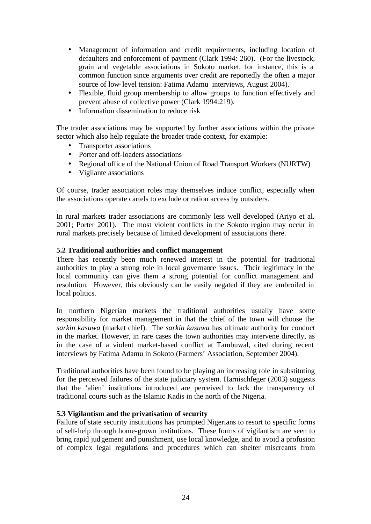- Management of information and credit requirements, including location of defaulters and enforcement of payment (Clark 1994: 260). (For the livestock, grain and vegetable associations in Sokoto market, for instance, this is a common function since arguments over credit are reportedly the often a major source of low-level tension: Fatima Adamu interviews, August 2004).
- Flexible, fluid group membership to allow groups to function effectively and prevent abuse of collective power (Clark 1994:219).
- Information dissemination to reduce risk

The trader associations may be supported by further associations within the private sector which also help regulate the broader trade context, for example:

- Transporter associations
- Porter and off-loaders associations
- Regional office of the National Union of Road Transport Workers (NURTW)
- Vigilante associations

Of course, trader association roles may themselves induce conflict, especially when the associations operate cartels to exclude or ration access by outsiders.

In rural markets trader associations are commonly less well developed (Ariyo et al. 2001; Porter 2001). The most violent conflicts in the Sokoto region may occur in rural markets precisely because of limited development of associations there.

#### **5.2 Traditional authorities and conflict management**

There has recently been much renewed interest in the potential for traditional authorities to play a strong role in local governance issues. Their legitimacy in the local community can give them a strong potential for conflict management and resolution. However, this obviously can be easily negated if they are embroiled in local politics.

In northern Nigerian markets the traditional authorities usually have some responsibility for market management in that the chief of the town will choose the *sarkin kasuwa* (market chief). The *sarkin kasuwa* has ultimate authority for conduct in the market. However, in rare cases the town authorities may intervene directly, as in the case of a violent market-based conflict at Tambuwal, cited during recent interviews by Fatima Adamu in Sokoto (Farmers' Association, September 2004).

Traditional authorities have been found to be playing an increasing role in substituting for the perceived failures of the state judiciary system. Harnischfeger (2003) suggests that the 'alien' institutions introduced are perceived to lack the transparency of traditional courts such as the Islamic Kadis in the north of the Nigeria.

#### **5.3 Vigilantism and the privatisation of security**

Failure of state security institutions has prompted Nigerians to resort to specific forms of self-help through home-grown institutions. These forms of vigilantism are seen to bring rapid judgement and punishment, use local knowledge, and to avoid a profusion of complex legal regulations and procedures which can shelter miscreants from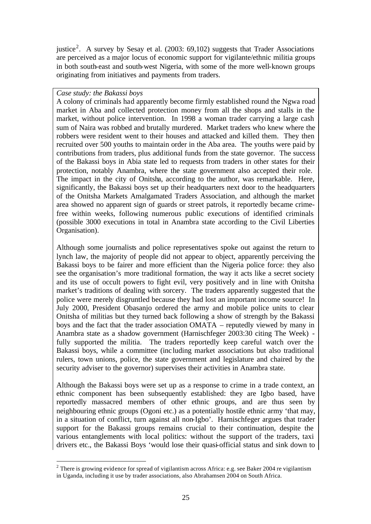justice<sup>2</sup>. A survey by Sesay et al. (2003: 69,102) suggests that Trader Associations are perceived as a major locus of economic support for vigilante/ethnic militia groups in both south-east and south-west Nigeria, with some of the more well-known groups originating from initiatives and payments from traders.

#### *Case study: the Bakassi boys*

l

A colony of criminals had apparently become firmly established round the Ngwa road market in Aba and collected protection money from all the shops and stalls in the market, without police intervention. In 1998 a woman trader carrying a large cash sum of Naira was robbed and brutally murdered. Market traders who knew where the robbers were resident went to their houses and attacked and killed them. They then recruited over 500 youths to maintain order in the Aba area. The youths were paid by contributions from traders, plus additional funds from the state governor. The success of the Bakassi boys in Abia state led to requests from traders in other states for their protection, notably Anambra, where the state government also accepted their role. The impact in the city of Onitsha, according to the author, was remarkable. Here, significantly, the Bakassi boys set up their headquarters next door to the headquarters of the Onitsha Markets Amalgamated Traders Association, and although the market area showed no apparent sign of guards or street patrols, it reportedly became crimefree within weeks, following numerous public executions of identified criminals (possible 3000 executions in total in Anambra state according to the Civil Liberties Organisation).

Although some journalists and police representatives spoke out against the return to lynch law, the majority of people did not appear to object, apparently perceiving the Bakassi boys to be fairer and more efficient than the Nigeria police force: they also see the organisation's more traditional formation, the way it acts like a secret society and its use of occult powers to fight evil, very positively and in line with Onitsha market's traditions of dealing with sorcery. The traders apparently suggested that the police were merely disgruntled because they had lost an important income source! In July 2000, President Obasanjo ordered the army and mobile police units to clear Onitsha of militias but they turned back following a show of strength by the Bakassi boys and the fact that the trader association OMATA – reputedly viewed by many in Anambra state as a shadow government (Harnischfeger 2003:30 citing The Week) fully supported the militia. The traders reportedly keep careful watch over the Bakassi boys, while a committee (inc luding market associations but also traditional rulers, town unions, police, the state government and legislature and chaired by the security adviser to the governor) supervises their activities in Anambra state.

Although the Bakassi boys were set up as a response to crime in a trade context, an ethnic component has been subsequently established: they are Igbo based, have reportedly massacred members of other ethnic groups, and are thus seen by neighbouring ethnic groups (Ogoni etc.) as a potentially hostile ethnic army 'that may, in a situation of conflict, turn against all non-Igbo'. Harnischfeger argues that trader support for the Bakassi groups remains crucial to their continuation, despite the various entanglements with local politics: without the support of the traders, taxi drivers etc., the Bakassi Boys 'would lose their quasi-official status and sink down to

<sup>&</sup>lt;sup>2</sup> There is growing evidence for spread of vigilantism across Africa: e.g. see Baker 2004 re vigilantism in Uganda, including it use by trader associations, also Abrahamsen 2004 on South Africa.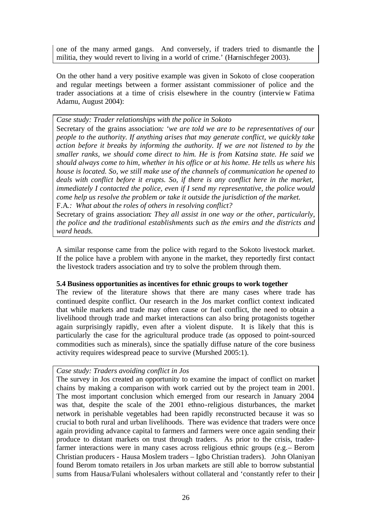one of the many armed gangs. And conversely, if traders tried to dismantle the militia, they would revert to living in a world of crime.' (Harnischfeger 2003).

On the other hand a very positive example was given in Sokoto of close cooperation and regular meetings between a former assistant commissioner of police and the trader associations at a time of crisis elsewhere in the country (interview Fatima Adamu, August 2004):

*Case study: Trader relationships with the police in Sokoto*

Secretary of the grains association*: 'we are told we are to be representatives of our people to the authority. If anything arises that may generate conflict, we quickly take action before it breaks by informing the authority. If we are not listened to by the smaller ranks, we should come direct to him. He is from Katsina state. He said we should always come to him, whether in his office or at his home. He tells us where his house is located. So, we still make use of the channels of communication he opened to deals with conflict before it erupts. So, if there is any conflict here in the market, immediately I contacted the police, even if I send my representative, the police would come help us resolve the problem or take it outside the jurisdiction of the market.* F.A*.: What about the roles of others in resolving conflict?*

Secretary of grains association*: They all assist in one way or the other, particularly, the police and the traditional establishments such as the emirs and the districts and ward heads.*

A similar response came from the police with regard to the Sokoto livestock market. If the police have a problem with anyone in the market, they reportedly first contact the livestock traders association and try to solve the problem through them.

#### **5.4 Business opportunities as incentives for ethnic groups to work together**

The review of the literature shows that there are many cases where trade has continued despite conflict. Our research in the Jos market conflict context indicated that while markets and trade may often cause or fuel conflict, the need to obtain a livelihood through trade and market interactions can also bring protagonists together again surprisingly rapidly, even after a violent dispute. It is likely that this is particularly the case for the agricultural produce trade (as opposed to point-sourced commodities such as minerals), since the spatially diffuse nature of the core business activity requires widespread peace to survive (Murshed 2005:1).

#### *Case study: Traders avoiding conflict in Jos*

The survey in Jos created an opportunity to examine the impact of conflict on market chains by making a comparison with work carried out by the project team in 2001. The most important conclusion which emerged from our research in January 2004 was that, despite the scale of the 2001 ethno-religious disturbances, the market network in perishable vegetables had been rapidly reconstructed because it was so crucial to both rural and urban livelihoods. There was evidence that traders were once again providing advance capital to farmers and farmers were once again sending their produce to distant markets on trust through traders. As prior to the crisis, traderfarmer interactions were in many cases across religious ethnic groups (e.g.– Berom Christian producers - Hausa Moslem traders – Igbo Christian traders). John Olaniyan found Berom tomato retailers in Jos urban markets are still able to borrow substantial sums from Hausa/Fulani wholesalers without collateral and 'constantly refer to their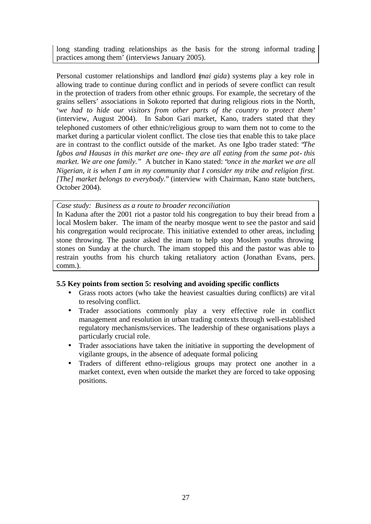long standing trading relationships as the basis for the strong informal trading practices among them' (interviews January 2005).

Personal customer relationships and landlord (*mai gida*) systems play a key role in allowing trade to continue during conflict and in periods of severe conflict can result in the protection of traders from other ethnic groups. For example, the secretary of the grains sellers' associations in Sokoto reported that during religious riots in the North, '*we had to hide our visitors from other parts of the country to protect them*' (interview, August 2004). In Sabon Gari market, Kano, traders stated that they telephoned customers of other ethnic/religious group to warn them not to come to the market during a particular violent conflict. The close ties that enable this to take place are in contrast to the conflict outside of the market. As one Igbo trader stated: "*The Igbos and Hausas in this market are one- they are all eating from the same pot- this market. We are one family."* A butcher in Kano stated: "*once in the market we are all Nigerian, it is when I am in my community that I consider my tribe and religion first. [The] market belongs to everybody.*" (interview with Chairman, Kano state butchers, October 2004).

*Case study: Business as a route to broader reconciliation*

In Kaduna after the 2001 riot a pastor told his congregation to buy their bread from a local Moslem baker. The imam of the nearby mosque went to see the pastor and said his congregation would reciprocate. This initiative extended to other areas, including stone throwing. The pastor asked the imam to help stop Moslem youths throwing stones on Sunday at the church. The imam stopped this and the pastor was able to restrain youths from his church taking retaliatory action (Jonathan Evans, pers. comm.).

### **5.5 Key points from section 5: resolving and avoiding specific conflicts**

- Grass roots actors (who take the heaviest casualties during conflicts) are vit al to resolving conflict.
- Trader associations commonly play a very effective role in conflict management and resolution in urban trading contexts through well-established regulatory mechanisms/services. The leadership of these organisations plays a particularly crucial role.
- Trader associations have taken the initiative in supporting the development of vigilante groups, in the absence of adequate formal policing
- Traders of different ethno-religious groups may protect one another in a market context, even when outside the market they are forced to take opposing positions.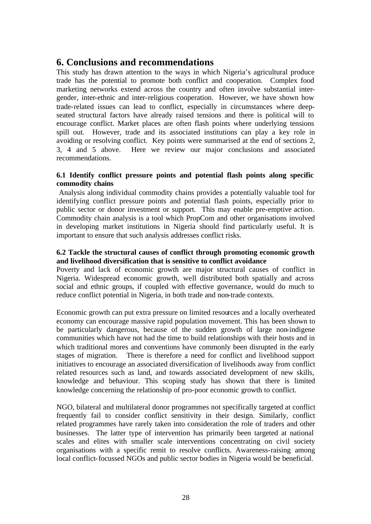### **6. Conclusions and recommendations**

This study has drawn attention to the ways in which Nigeria's agricultural produce trade has the potential to promote both conflict and cooperation. Complex food marketing networks extend across the country and often involve substantial intergender, inter-ethnic and inter-religious cooperation. However, we have shown how trade-related issues can lead to conflict, especially in circumstances where deepseated structural factors have already raised tensions and there is political will to encourage conflict. Market places are often flash points where underlying tensions spill out. However, trade and its associated institutions can play a key role in avoiding or resolving conflict. Key points were summarised at the end of sections 2, 3, 4 and 5 above. Here we review our major conclusions and associated recommendations.

#### **6.1 Identify conflict pressure points and potential flash points along specific commodity chains**

 Analysis along individual commodity chains provides a potentially valuable tool for identifying conflict pressure points and potential flash points, especially prior to public sector or donor investment or support. This may enable pre-emptive action. Commodity chain analysis is a tool which PropCom and other organisations involved in developing market institutions in Nigeria should find particularly useful. It is important to ensure that such analysis addresses conflict risks.

### **6.2 Tackle the structural causes of conflict through promoting economic growth and livelihood diversification that is sensitive to conflict avoidance**

Poverty and lack of economic growth are major structural causes of conflict in Nigeria. Widespread economic growth, well distributed both spatially and across social and ethnic groups, if coupled with effective governance, would do much to reduce conflict potential in Nigeria, in both trade and non-trade contexts.

Economic growth can put extra pressure on limited resources and a locally overheated economy can encourage massive rapid population movement. This has been shown to be particularly dangerous, because of the sudden growth of large non-indigene communities which have not had the time to build relationships with their hosts and in which traditional mores and conventions have commonly been disrupted in the early stages of migration. There is therefore a need for conflict and livelihood support initiatives to encourage an associated diversification of livelihoods away from conflict related resources such as land, and towards associated development of new skills, knowledge and behaviour. This scoping study has shown that there is limited knowledge concerning the relationship of pro-poor economic growth to conflict.

NGO, bilateral and multilateral donor programmes not specifically targeted at conflict frequently fail to consider conflict sensitivity in their design. Similarly, conflict related programmes have rarely taken into consideration the role of traders and other businesses. The latter type of intervention has primarily been targeted at national scales and elites with smaller scale interventions concentrating on civil society organisations with a specific remit to resolve conflicts. Awareness-raising among local conflict-focussed NGOs and public sector bodies in Nigeria would be beneficial.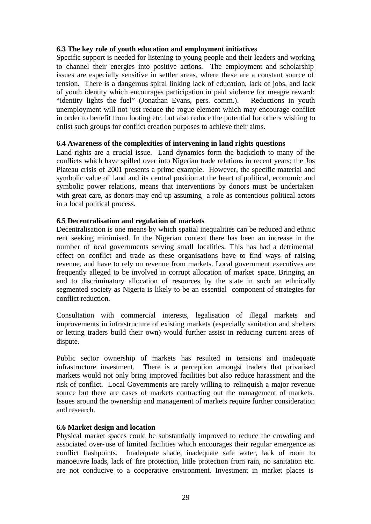#### **6.3 The key role of youth education and employment initiatives**

Specific support is needed for listening to young people and their leaders and working to channel their energies into positive actions. The employment and scholarship issues are especially sensitive in settler areas, where these are a constant source of tension. There is a dangerous spiral linking lack of education, lack of jobs, and lack of youth identity which encourages participation in paid violence for meagre reward: "identity lights the fuel" (Jonathan Evans, pers. comm.). Reductions in youth unemployment will not just reduce the rogue element which may encourage conflict in order to benefit from looting etc. but also reduce the potential for others wishing to enlist such groups for conflict creation purposes to achieve their aims.

#### **6.4 Awareness of the complexities of intervening in land rights questions**

Land rights are a crucial issue. Land dynamics form the backcloth to many of the conflicts which have spilled over into Nigerian trade relations in recent years; the Jos Plateau crisis of 2001 presents a prime example. However, the specific material and symbolic value of land and its central position at the heart of political, economic and symbolic power relations, means that interventions by donors must be undertaken with great care, as donors may end up assuming a role as contentious political actors in a local political process.

#### **6.5 Decentralisation and regulation of markets**

Decentralisation is one means by which spatial inequalities can be reduced and ethnic rent seeking minimised. In the Nigerian context there has been an increase in the number of boal governments serving small localities. This has had a detrimental effect on conflict and trade as these organisations have to find ways of raising revenue, and have to rely on revenue from markets. Local government executives are frequently alleged to be involved in corrupt allocation of market space. Bringing an end to discriminatory allocation of resources by the state in such an ethnically segmented society as Nigeria is likely to be an essential component of strategies for conflict reduction.

Consultation with commercial interests, legalisation of illegal markets and improvements in infrastructure of existing markets (especially sanitation and shelters or letting traders build their own) would further assist in reducing current areas of dispute.

Public sector ownership of markets has resulted in tensions and inadequate infrastructure investment. There is a perception amongst traders that privatised markets would not only bring improved facilities but also reduce harassment and the risk of conflict. Local Governments are rarely willing to relinquish a major revenue source but there are cases of markets contracting out the management of markets. Issues around the ownership and management of markets require further consideration and research.

#### **6.6 Market design and location**

Physical market spaces could be substantially improved to reduce the crowding and associated over-use of limited facilities which encourages their regular emergence as conflict flashpoints. Inadequate shade, inadequate safe water, lack of room to manoeuvre loads, lack of fire protection, little protection from rain, no sanitation etc. are not conducive to a cooperative environment. Investment in market places is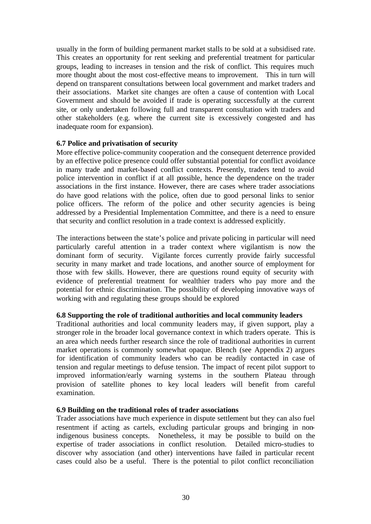usually in the form of building permanent market stalls to be sold at a subsidised rate. This creates an opportunity for rent seeking and preferential treatment for particular groups, leading to increases in tension and the risk of conflict. This requires much more thought about the most cost-effective means to improvement. This in turn will depend on transparent consultations between local government and market traders and their associations. Market site changes are often a cause of contention with Local Government and should be avoided if trade is operating successfully at the current site, or only undertaken following full and transparent consultation with traders and other stakeholders (e.g. where the current site is excessively congested and has inadequate room for expansion).

#### **6.7 Police and privatisation of security**

More effective police-community cooperation and the consequent deterrence provided by an effective police presence could offer substantial potential for conflict avoidance in many trade and market-based conflict contexts. Presently, traders tend to avoid police intervention in conflict if at all possible, hence the dependence on the trader associations in the first instance. However, there are cases where trader associations do have good relations with the police, often due to good personal links to senior police officers. The reform of the police and other security agencies is being addressed by a Presidential Implementation Committee, and there is a need to ensure that security and conflict resolution in a trade context is addressed explicitly.

The interactions between the state's police and private policing in particular will need particularly careful attention in a trader context where vigilantism is now the dominant form of security. Vigilante forces currently provide fairly successful security in many market and trade locations, and another source of employment for those with few skills. However, there are questions round equity of security with evidence of preferential treatment for wealthier traders who pay more and the potential for ethnic discrimination. The possibility of developing innovative ways of working with and regulating these groups should be explored

#### **6.8 Supporting the role of traditional authorities and local community leaders**

Traditional authorities and local community leaders may, if given support, play a stronger role in the broader local governance context in which traders operate. This is an area which needs further research since the role of traditional authorities in current market operations is commonly somewhat opaque. Blench (see Appendix 2) argues for identification of community leaders who can be readily contacted in case of tension and regular meetings to defuse tension. The impact of recent pilot support to improved information/early warning systems in the southern Plateau through provision of satellite phones to key local leaders will benefit from careful examination.

#### **6.9 Building on the traditional roles of trader associations**

Trader associations have much experience in dispute settlement but they can also fuel resentment if acting as cartels, excluding particular groups and bringing in nonindigenous business concepts. Nonetheless, it may be possible to build on the expertise of trader associations in conflict resolution. Detailed micro-studies to discover why association (and other) interventions have failed in particular recent cases could also be a useful. There is the potential to pilot conflict reconciliation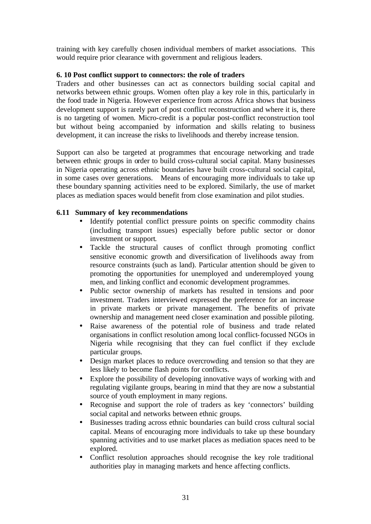training with key carefully chosen individual members of market associations. This would require prior clearance with government and religious leaders.

#### **6. 10 Post conflict support to connectors: the role of traders**

Traders and other businesses can act as connectors building social capital and networks between ethnic groups. Women often play a key role in this, particularly in the food trade in Nigeria. However experience from across Africa shows that business development support is rarely part of post conflict reconstruction and where it is, there is no targeting of women. Micro-credit is a popular post-conflict reconstruction tool but without being accompanied by information and skills relating to business development, it can increase the risks to livelihoods and thereby increase tension.

Support can also be targeted at programmes that encourage networking and trade between ethnic groups in order to build cross-cultural social capital. Many businesses in Nigeria operating across ethnic boundaries have built cross-cultural social capital, in some cases over generations. Means of encouraging more individuals to take up these boundary spanning activities need to be explored. Similarly, the use of market places as mediation spaces would benefit from close examination and pilot studies.

#### **6.11 Summary of key recommendations**

- Identify potential conflict pressure points on specific commodity chains (including transport issues) especially before public sector or donor investment or support.
- Tackle the structural causes of conflict through promoting conflict sensitive economic growth and diversification of livelihoods away from resource constraints (such as land). Particular attention should be given to promoting the opportunities for unemployed and underemployed young men, and linking conflict and economic development programmes.
- Public sector ownership of markets has resulted in tensions and poor investment. Traders interviewed expressed the preference for an increase in private markets or private management. The benefits of private ownership and management need closer examination and possible piloting.
- Raise awareness of the potential role of business and trade related organisations in conflict resolution among local conflict-focussed NGOs in Nigeria while recognising that they can fuel conflict if they exclude particular groups.
- Design market places to reduce overcrowding and tension so that they are less likely to become flash points for conflicts.
- Explore the possibility of developing innovative ways of working with and regulating vigilante groups, bearing in mind that they are now a substantial source of youth employment in many regions.
- Recognise and support the role of traders as key 'connectors' building social capital and networks between ethnic groups.
- Businesses trading across ethnic boundaries can build cross cultural social capital. Means of encouraging more individuals to take up these boundary spanning activities and to use market places as mediation spaces need to be explored.
- Conflict resolution approaches should recognise the key role traditional authorities play in managing markets and hence affecting conflicts.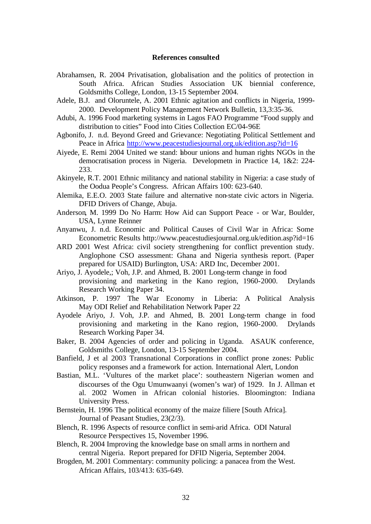#### **References consulted**

- Abrahamsen, R. 2004 Privatisation, globalisation and the politics of protection in South Africa. African Studies Association UK biennial conference, Goldsmiths College, London, 13-15 September 2004.
- Adele, B.J. and Oloruntele, A. 2001 Ethnic agitation and conflicts in Nigeria, 1999- 2000. Development Policy Management Network Bulletin, 13,3:35-36.
- Adubi, A. 1996 Food marketing systems in Lagos FAO Programme "Food supply and distribution to cities" Food into Cities Collection EC/04-96E
- Agbonifo, J. n.d. Beyond Greed and Grievance: Negotiating Political Settlement and Peace in Africa http://www.peacestudiesjournal.org.uk/edition.asp?id=16
- Aiyede, E. Remi 2004 United we stand: labour unions and human rights NGOs in the democratisation process in Nigeria. Developmetn in Practice 14, 1&2: 224- 233.
- Akinyele, R.T. 2001 Ethnic militancy and national stability in Nigeria: a case study of the Oodua People's Congress. African Affairs 100: 623-640.
- Alemika, E.E.O. 2003 State failure and alternative non-state civic actors in Nigeria. DFID Drivers of Change, Abuja.
- Anderson, M. 1999 Do No Harm: How Aid can Support Peace or War, Boulder, USA, Lynne Reinner
- Anyanwu, J. n.d. Economic and Political Causes of Civil War in Africa: Some Econometric Results http://www.peacestudiesjournal.org.uk/edition.asp?id=16
- ARD 2001 West Africa: civil society strengthening for conflict prevention study. Anglophone CSO assessment: Ghana and Nigeria synthesis report. (Paper prepared for USAID) Burlington, USA: ARD Inc, December 2001.
- Ariyo, J. Ayodele,; Voh, J.P. and Ahmed, B. 2001 Long-term change in food provisioning and marketing in the Kano region, 1960-2000. Drylands Research Working Paper 34.
- Atkinson, P. 1997 The War Economy in Liberia: A Political Analysis May ODI Relief and Rehabilitation Network Paper 22
- Ayodele Ariyo, J. Voh, J.P. and Ahmed, B. 2001 Long-term change in food provisioning and marketing in the Kano region, 1960-2000. Drylands Research Working Paper 34.
- Baker, B. 2004 Agencies of order and policing in Uganda. ASAUK conference, Goldsmiths College, London, 13-15 September 2004.
- Banfield, J et al 2003 Transnational Corporations in conflict prone zones: Public policy responses and a framework for action. International Alert, London
- Bastian, M.L. 'Vultures of the market place': southeastern Nigerian women and discourses of the Ogu Umunwaanyi (women's war) of 1929. In J. Allman et al. 2002 Women in African colonial histories. Bloomington: Indiana University Press.
- Bernstein, H. 1996 The political economy of the maize filiere [South Africa]. Journal of Peasant Studies, 23(2/3).
- Blench, R. 1996 Aspects of resource conflict in semi-arid Africa. ODI Natural Resource Perspectives 15, November 1996.
- Blench, R. 2004 Improving the knowledge base on small arms in northern and central Nigeria. Report prepared for DFID Nigeria, September 2004.
- Brogden, M. 2001 Commentary: community policing: a panacea from the West. African Affairs, 103/413: 635-649.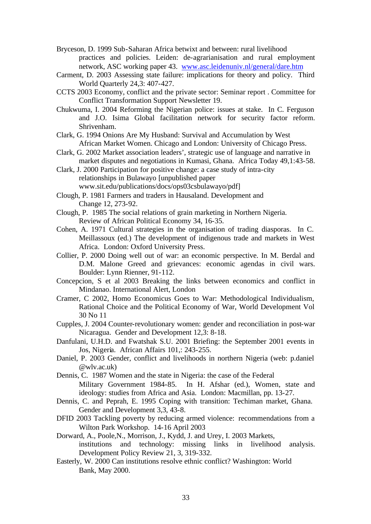- Bryceson, D. 1999 Sub-Saharan Africa betwixt and between: rural livelihood practices and policies. Leiden: de-agrarianisation and rural employment network, ASC working paper 43. www.asc.leidenuniv.nl/general/dare.htm
- Carment, D. 2003 Assessing state failure: implications for theory and policy. Third World Quarterly 24,3: 407-427.
- CCTS 2003 Economy, conflict and the private sector: Seminar report . Committee for Conflict Transformation Support Newsletter 19.
- Chukwuma, I. 2004 Reforming the Nigerian police: issues at stake. In C. Ferguson and J.O. Isima Global facilitation network for security factor reform. Shrivenham.
- Clark, G. 1994 Onions Are My Husband: Survival and Accumulation by West African Market Women. Chicago and London: University of Chicago Press.
- Clark, G. 2002 Market association leaders', strategic use of language and narrative in market disputes and negotiations in Kumasi, Ghana. Africa Today 49,1:43-58.
- Clark, J. 2000 Participation for positive change: a case study of intra-city relationships in Bulawayo [unpublished paper www.sit.edu/publications/docs/ops03csbulawayo/pdf]
- Clough, P. 1981 Farmers and traders in Hausaland. Development and Change 12, 273-92.
- Clough, P. 1985 The social relations of grain marketing in Northern Nigeria. Review of African Political Economy 34, 16-35.
- Cohen, A. 1971 Cultural strategies in the organisation of trading diasporas. In C. Meillassoux (ed.) The development of indigenous trade and markets in West Africa. London: Oxford University Press.
- Collier, P. 2000 Doing well out of war: an economic perspective. In M. Berdal and D.M. Malone Greed and grievances: economic agendas in civil wars. Boulder: Lynn Rienner, 91-112.
- Concepcion, S et al 2003 Breaking the links between economics and conflict in Mindanao. International Alert, London
- Cramer, C 2002, Homo Economicus Goes to War: Methodological Individualism, Rational Choice and the Political Economy of War, World Development Vol 30 No 11
- Cupples, J. 2004 Counter-revolutionary women: gender and reconciliation in post-war Nicaragua. Gender and Development 12,3: 8-18.
- Danfulani, U.H.D. and Fwatshak S.U. 2001 Briefing: the September 2001 events in Jos, Nigeria. African Affairs 101,: 243-255.
- Daniel, P. 2003 Gender, conflict and livelihoods in northern Nigeria (web: p.daniel @wlv.ac.uk)
- Dennis, C. 1987 Women and the state in Nigeria: the case of the Federal Military Government 1984-85. In H. Afshar (ed.), Women, state and ideology: studies from Africa and Asia. London: Macmillan, pp. 13-27.
- Dennis, C. and Peprah, E. 1995 Coping with transition: Techiman market, Ghana. Gender and Development 3,3, 43-8.
- DFID 2003 Tackling poverty by reducing armed violence: recommendations from a Wilton Park Workshop. 14-16 April 2003
- Dorward, A., Poole,N., Morrison, J., Kydd, J. and Urey, I. 2003 Markets, institutions and technology: missing links in livelihood analysis. Development Policy Review 21, 3, 319-332.
- Easterly, W. 2000 Can institutions resolve ethnic conflict? Washington: World Bank, May 2000.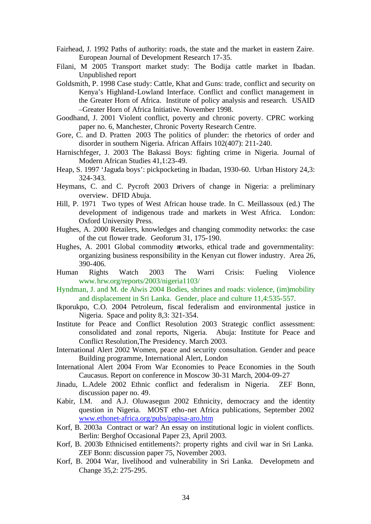- Fairhead, J. 1992 Paths of authority: roads, the state and the market in eastern Zaire. European Journal of Development Research 17-35.
- Filani, M 2005 Transport market study: The Bodija cattle market in Ibadan. Unpublished report
- Goldsmith, P. 1998 Case study: Cattle, Khat and Guns: trade, conflict and security on Kenya's Highland-Lowland Interface. Conflict and conflict management in the Greater Horn of Africa. Institute of policy analysis and research. USAID –Greater Horn of Africa Initiative. November 1998.
- Goodhand, J. 2001 Violent conflict, poverty and chronic poverty. CPRC working paper no. 6, Manchester, Chronic Poverty Research Centre.
- Gore, C. and D. Pratten 2003 The politics of plunder: the rhetorics of order and disorder in southern Nigeria. African Affairs 102(407): 211-240.
- Harnischfeger, J. 2003 The Bakassi Boys: fighting crime in Nigeria. Journal of Modern African Studies 41,1:23-49.
- Heap, S. 1997 'Jaguda boys': pickpocketing in Ibadan, 1930-60. Urban History 24,3: 324-343.
- Heymans, C. and C. Pycroft 2003 Drivers of change in Nigeria: a preliminary overview. DFID Abuja.
- Hill, P. 1971 Two types of West African house trade. In C. Meillassoux (ed.) The development of indigenous trade and markets in West Africa. London: Oxford University Press.
- Hughes, A. 2000 Retailers, knowledges and changing commodity networks: the case of the cut flower trade. Geoforum 31, 175-190.
- Hughes, A. 2001 Global commodity retworks, ethical trade and governmentality: organizing business responsibility in the Kenyan cut flower industry. Area 26, 390-406.
- Human Rights Watch 2003 The Warri Crisis: Fueling Violence www.hrw.org/reports/2003/nigeria1103/
- Hyndman, J. and M. de Alwis 2004 Bodies, shrines and roads: violence, (im)mobility and displacement in Sri Lanka. Gender, place and culture 11,4:535-557.
- Ikporukpo, C.O. 2004 Petroleum, fiscal federalism and environmental justice in Nigeria. Space and polity 8,3: 321-354.
- Institute for Peace and Conflict Resolution 2003 Strategic conflict assessment: consolidated and zonal reports, Nigeria. Abuja: Institute for Peace and Conflict Resolution,The Presidency. March 2003.
- International Alert 2002 Women, peace and security consultation. Gender and peace Building programme, International Alert, London
- International Alert 2004 From War Economies to Peace Economies in the South Caucasus. Report on conference in Moscow 30-31 March, 2004-09-27
- Jinadu, L.Adele 2002 Ethnic conflict and federalism in Nigeria. ZEF Bonn, discussion paper no. 49.
- Kabir, I.M. and A.J. Oluwasegun 2002 Ethnicity, democracy and the identity question in Nigeria. MOST etho-net Africa publications, September 2002 www.ethonet-africa.org/pubs/papisa-aro.htm
- Korf, B. 2003a Contract or war? An essay on institutional logic in violent conflicts. Berlin: Berghof Occasional Paper 23, April 2003.
- Korf, B. 2003b Ethnicised entitlements?: property rights and civil war in Sri Lanka. ZEF Bonn: discussion paper 75, November 2003.
- Korf, B. 2004 War, livelihood and vulnerability in Sri Lanka. Developmetn and Change 35,2: 275-295.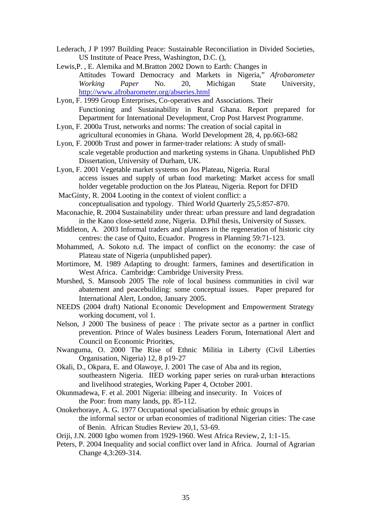- Lederach, J P 1997 Building Peace: Sustainable Reconciliation in Divided Societies, US Institute of Peace Press, Washington, D.C. (),
- Lewis,P. , E. Alemika and M.Bratton 2002 Down to Earth: Changes in Attitudes Toward Democracy and Markets in Nigeria," *Afrobarometer Working Paper* No. 20, Michigan State University, http://www.afrobarometer.org/abseries.html
- Lyon, F. 1999 Group Enterprises, Co-operatives and Associations. Their Functioning and Sustainability in Rural Ghana. Report prepared for Department for International Development, Crop Post Harvest Programme.
- Lyon, F. 2000a Trust, networks and norms: The creation of social capital in agricultural economies in Ghana. World Development 28, 4, pp.663-682
- Lyon, F. 2000b Trust and power in farmer-trader relations: A study of smallscale vegetable production and marketing systems in Ghana. Unpublished PhD Dissertation, University of Durham, UK.
- Lyon, F. 2001 Vegetable market systems on Jos Plateau, Nigeria. Rural access issues and supply of urban food marketing: Market access for small holder vegetable production on the Jos Plateau, Nigeria. Report for DFID
- MacGinty, R. 2004 Looting in the context of violent conflict: a conceptualisation and typology. Third World Quarterly 25,5:857-870.
- Maconachie, R. 2004 Sustainability under threat: urban pressure and land degradation in the Kano close-setteld zone, Nigeria. D.Phil thesis, University of Sussex.
- Middleton, A. 2003 Informal traders and planners in the regeneration of historic city centres: the case of Quito, Ecuador. Progress in Planning 59:71-123.
- Mohammed, A. Sokoto n.d. The impact of conflict on the economy: the case of Plateau state of Nigeria (unpublished paper).
- Mortimore, M. 1989 Adapting to drought: farmers, famines and desertification in West Africa. Cambridge: Cambridge University Press.
- Murshed, S. Mansoob 2005 The role of local business communities in civil war abatement and peacebuilding: some conceptual issues. Paper prepared for International Alert, London, January 2005.
- NEEDS (2004 draft) National Economic Development and Empowerment Strategy working document, vol 1.
- Nelson, J 2000 The business of peace : The private sector as a partner in conflict prevention. Prince of Wales business Leaders Forum, International Alert and Council on Economic Priorities,
- Nwanguma, O. 2000 The Rise of Ethnic Militia in Liberty (Civil Liberties Organisation, Nigeria) 12, 8 p19-27
- Okali, D., Okpara, E. and Olawoye, J. 2001 The case of Aba and its region, southeastern Nigeria. IIED working paper series on rural-urban interactions and livelihood strategies, Working Paper 4, October 2001.
- Okunmadewa, F. et al. 2001 Nigeria: illbeing and insecurity. In Voices of the Poor: from many lands, pp. 85-112.
- Onokerhoraye, A. G. 1977 Occupational specialisation by ethnic groups in the informal sector or urban economies of traditional Nigerian cities: The case of Benin. African Studies Review 20,1, 53-69.
- Oriji, J.N. 2000 Igbo women from 1929-1960. West Africa Review, 2, 1:1-15.
- Peters, P. 2004 Inequality and social conflict over land in Africa. Journal of Agrarian Change 4,3:269-314.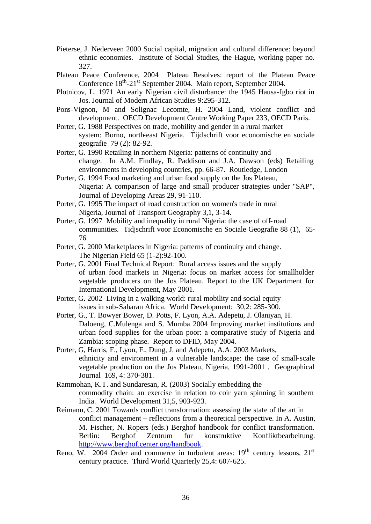- Pieterse, J. Nederveen 2000 Social capital, migration and cultural difference: beyond ethnic economies. Institute of Social Studies, the Hague, working paper no. 327.
- Plateau Peace Conference, 2004 Plateau Resolves: report of the Plateau Peace Conference 18<sup>th</sup>-21<sup>st</sup> September 2004. Main report, September 2004.
- Plotnicov, L. 1971 An early Nigerian civil disturbance: the 1945 Hausa-Igbo riot in Jos. Journal of Modern African Studies 9:295-312.
- Pons-Vignon, M and Solignac Lecomte, H. 2004 Land, violent conflict and development. OECD Development Centre Working Paper 233, OECD Paris.
- Porter, G. 1988 Perspectives on trade, mobility and gender in a rural market system: Borno, north-east Nigeria. Tijdschrift voor economische en sociale geografie 79 (2): 82-92.
- Porter, G. 1990 Retailing in northern Nigeria: patterns of continuity and change. In A.M. Findlay, R. Paddison and J.A. Dawson (eds) Retailing environments in developing countries, pp. 66-87. Routledge, London
- Porter, G. 1994 Food marketing and urban food supply on the Jos Plateau, Nigeria: A comparison of large and small producer strategies under "SAP", Journal of Developing Areas 29, 91-110.
- Porter, G. 1995 The impact of road construction on women's trade in rural Nigeria, Journal of Transport Geography 3,1, 3-14.
- Porter, G. 1997 Mobility and inequality in rural Nigeria: the case of off-road communities. Tidjschrift voor Economische en Sociale Geografie 88 (1), 65- 76
- Porter, G. 2000 Marketplaces in Nigeria: patterns of continuity and change. The Nigerian Field 65 (1-2):92-100.
- Porter, G. 2001 Final Technical Report: Rural access issues and the supply of urban food markets in Nigeria: focus on market access for smallholder vegetable producers on the Jos Plateau. Report to the UK Department for International Development, May 2001.
- Porter, G. 2002 Living in a walking world: rural mobility and social equity issues in sub-Saharan Africa. World Development: 30,2: 285-300.
- Porter, G., T. Bowyer Bower, D. Potts, F. Lyon, A.A. Adepetu, J. Olaniyan, H. Daloeng, C.Mulenga and S. Mumba 2004 Improving market institutions and urban food supplies for the urban poor: a comparative study of Nigeria and Zambia: scoping phase. Report to DFID, May 2004.
- Porter, G, Harris, F., Lyon, F., Dung, J. and Adepetu, A.A. 2003 Markets, ethnicity and environment in a vulnerable landscape: the case of small-scale vegetable production on the Jos Plateau, Nigeria, 1991-2001 . Geographical Journal 169, 4: 370-381.
- Rammohan, K.T. and Sundaresan, R. (2003) Socially embedding the commodity chain: an exercise in relation to coir yarn spinning in southern India. World Development 31,5, 903-923.
- Reimann, C. 2001 Towards conflict transformation: assessing the state of the art in conflict management – reflections from a theoretical perspective. In A. Austin, M. Fischer, N. Ropers (eds.) Berghof handbook for conflict transformation. Berlin: Berghof Zentrum fur konstruktive Konfliktbearbeitung. http://www.berghof.center.org/handbook.
- Reno, W. 2004 Order and commerce in turbulent areas:  $19<sup>th</sup>$  century lessons,  $21<sup>st</sup>$ century practice. Third World Quarterly 25,4: 607-625.